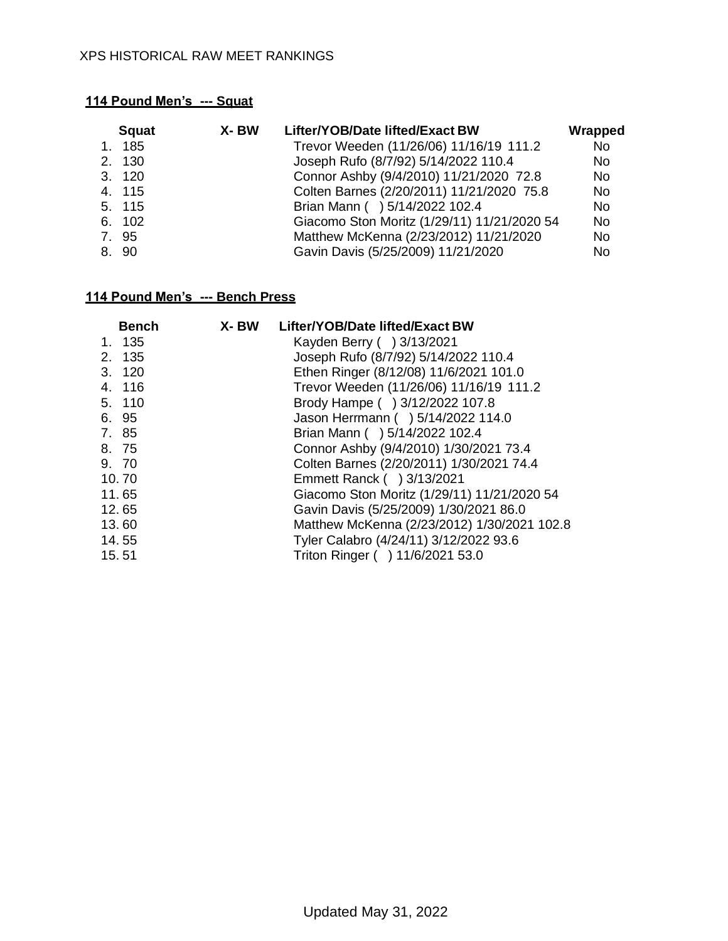| <b>Squat</b> | X-BW<br>Lifter/YOB/Date lifted/Exact BW     | Wrapped |
|--------------|---------------------------------------------|---------|
| 1. 185       | Trevor Weeden (11/26/06) 11/16/19 111.2     | No      |
| 2. 130       | Joseph Rufo (8/7/92) 5/14/2022 110.4        | No.     |
| 3. 120       | Connor Ashby (9/4/2010) 11/21/2020 72.8     | No.     |
| 4. 115       | Colten Barnes (2/20/2011) 11/21/2020 75.8   | No.     |
| 5. 115       | Brian Mann ( ) 5/14/2022 102.4              | No.     |
| 6. 102       | Giacomo Ston Moritz (1/29/11) 11/21/2020 54 | No.     |
| 7.95         | Matthew McKenna (2/23/2012) 11/21/2020      | No.     |
| 8. 90        | Gavin Davis (5/25/2009) 11/21/2020          | No.     |

|       | <b>Bench</b> | X- BW | Lifter/YOB/Date lifted/Exact BW             |
|-------|--------------|-------|---------------------------------------------|
|       | 1. 135       |       | Kayden Berry () 3/13/2021                   |
|       | 2. 135       |       | Joseph Rufo (8/7/92) 5/14/2022 110.4        |
|       | 3. 120       |       | Ethen Ringer (8/12/08) 11/6/2021 101.0      |
|       | 4. 116       |       | Trevor Weeden (11/26/06) 11/16/19 111.2     |
|       | 5. 110       |       | Brody Hampe ( ) 3/12/2022 107.8             |
|       | 6. 95        |       | Jason Herrmann ( ) 5/14/2022 114.0          |
| 7. 85 |              |       | Brian Mann ( ) 5/14/2022 102.4              |
| 8. 75 |              |       | Connor Ashby (9/4/2010) 1/30/2021 73.4      |
| 9. 70 |              |       | Colten Barnes (2/20/2011) 1/30/2021 74.4    |
| 10.70 |              |       | Emmett Ranck ( ) 3/13/2021                  |
| 11.65 |              |       | Giacomo Ston Moritz (1/29/11) 11/21/2020 54 |
| 12.65 |              |       | Gavin Davis (5/25/2009) 1/30/2021 86.0      |
| 13.60 |              |       | Matthew McKenna (2/23/2012) 1/30/2021 102.8 |
| 14.55 |              |       | Tyler Calabro (4/24/11) 3/12/2022 93.6      |
| 15.51 |              |       | Triton Ringer () 11/6/2021 53.0             |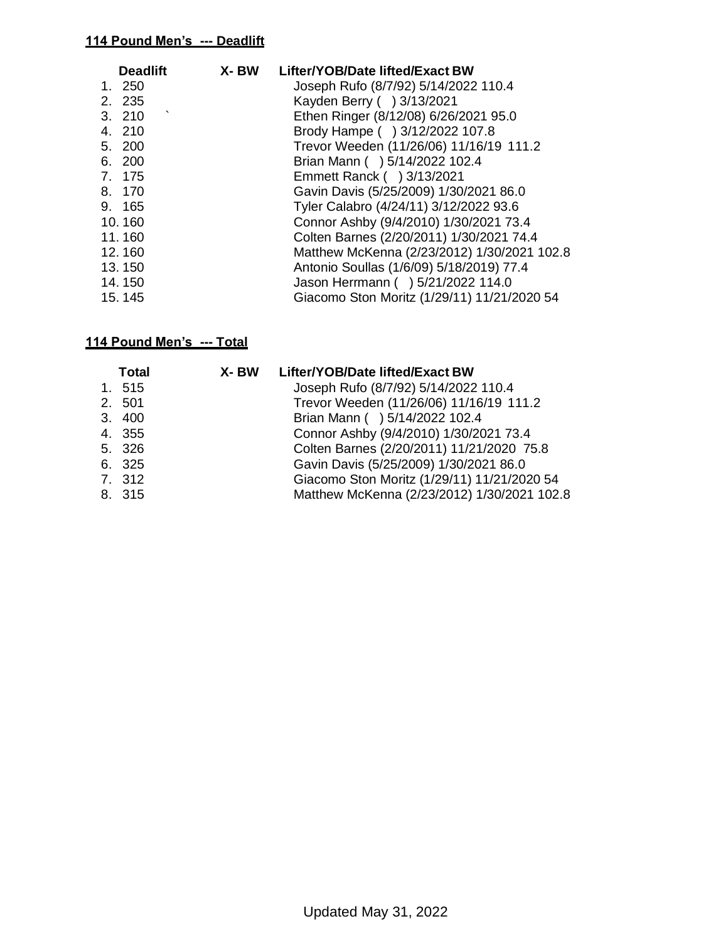| <b>Deadlift</b> | X- BW | Lifter/YOB/Date lifted/Exact BW             |
|-----------------|-------|---------------------------------------------|
| 1. 250          |       | Joseph Rufo (8/7/92) 5/14/2022 110.4        |
| 2. 235          |       | Kayden Berry () 3/13/2021                   |
| 3. 210          |       | Ethen Ringer (8/12/08) 6/26/2021 95.0       |
| 4. 210          |       | Brody Hampe ( ) 3/12/2022 107.8             |
| 5. 200          |       | Trevor Weeden (11/26/06) 11/16/19 111.2     |
| 6. 200          |       | Brian Mann ( ) 5/14/2022 102.4              |
| 7. 175          |       | Emmett Ranck ( ) 3/13/2021                  |
| 8. 170          |       | Gavin Davis (5/25/2009) 1/30/2021 86.0      |
| 9. 165          |       | Tyler Calabro (4/24/11) 3/12/2022 93.6      |
| 10.160          |       | Connor Ashby (9/4/2010) 1/30/2021 73.4      |
| 11.160          |       | Colten Barnes (2/20/2011) 1/30/2021 74.4    |
| 12.160          |       | Matthew McKenna (2/23/2012) 1/30/2021 102.8 |
| 13.150          |       | Antonio Soullas (1/6/09) 5/18/2019) 77.4    |
| 14.150          |       | Jason Herrmann ( ) 5/21/2022 114.0          |
| 15.145          |       | Giacomo Ston Moritz (1/29/11) 11/21/2020 54 |

| <b>Total</b> | X- BW Lifter/YOB/Date lifted/Exact BW       |
|--------------|---------------------------------------------|
| 1. 515       | Joseph Rufo (8/7/92) 5/14/2022 110.4        |
| 2. 501       | Trevor Weeden (11/26/06) 11/16/19 111.2     |
| 3. 400       | Brian Mann ( ) 5/14/2022 102.4              |
| 4. 355       | Connor Ashby (9/4/2010) 1/30/2021 73.4      |
| 5. 326       | Colten Barnes (2/20/2011) 11/21/2020 75.8   |
| 6. 325       | Gavin Davis (5/25/2009) 1/30/2021 86.0      |
| 7. 312       | Giacomo Ston Moritz (1/29/11) 11/21/2020 54 |
| 8. 315       | Matthew McKenna (2/23/2012) 1/30/2021 102.8 |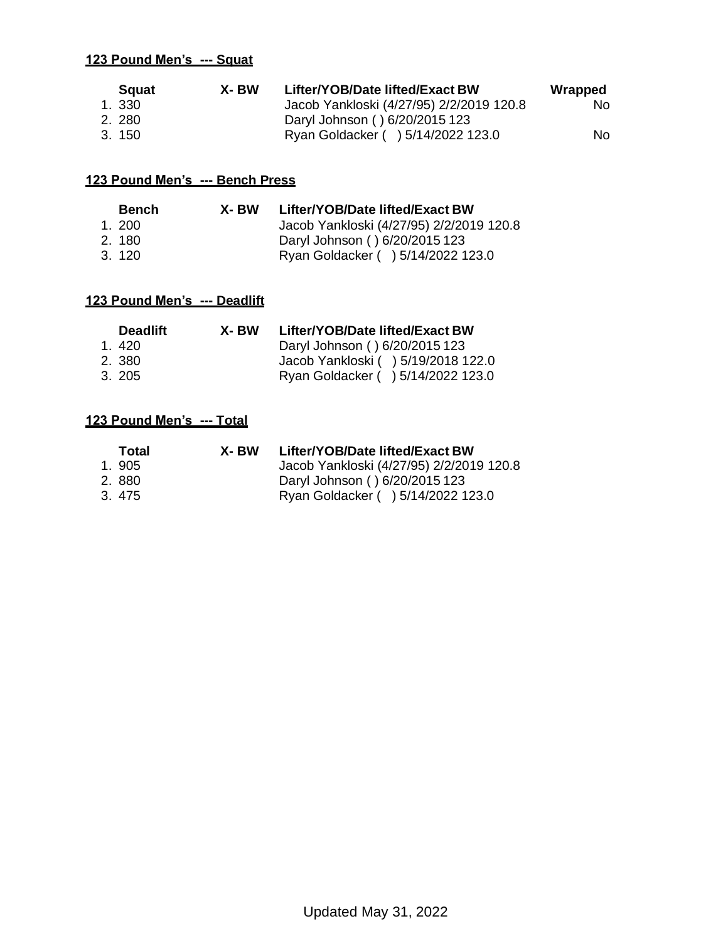|       | <b>Squat</b> | X-BW | Lifter/YOB/Date lifted/Exact BW          | Wrapped   |
|-------|--------------|------|------------------------------------------|-----------|
| 1.330 |              |      | Jacob Yankloski (4/27/95) 2/2/2019 120.8 | <b>No</b> |
| 2.280 |              |      | Daryl Johnson () 6/20/2015 123           |           |
| 3.150 |              |      | Ryan Goldacker ( ) 5/14/2022 123.0       | No.       |

### **123 Pound Men's --- Bench Press**

| Bench  | X- BW | Lifter/YOB/Date lifted/Exact BW          |
|--------|-------|------------------------------------------|
| 1.200  |       | Jacob Yankloski (4/27/95) 2/2/2019 120.8 |
| 2.180  |       | Daryl Johnson () 6/20/2015 123           |
| 3. 120 |       | Ryan Goldacker ( ) 5/14/2022 123.0       |

#### **123 Pound Men's --- Deadlift**

| <b>Deadlift</b> | X- BW | Lifter/YOB/Date lifted/Exact BW     |
|-----------------|-------|-------------------------------------|
| 1.420           |       | Daryl Johnson () 6/20/2015 123      |
| 2. 380          |       | Jacob Yankloski ( ) 5/19/2018 122.0 |
| 3.205           |       | Ryan Goldacker ( ) 5/14/2022 123.0  |

| Total | X- BW | Lifter/YOB/Date lifted/Exact BW          |
|-------|-------|------------------------------------------|
| 1.905 |       | Jacob Yankloski (4/27/95) 2/2/2019 120.8 |
| 2.880 |       | Daryl Johnson () 6/20/2015 123           |
| 3.475 |       | Ryan Goldacker ( ) 5/14/2022 123.0       |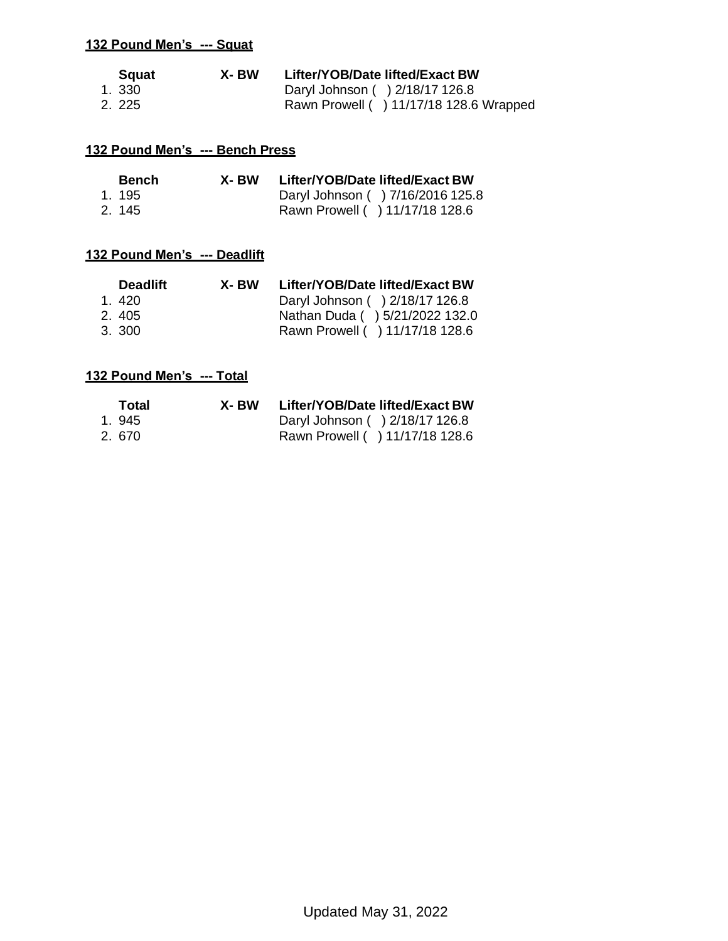| <b>S</b> quat | X- BW | Lifter/YOB/Date lifted/Exact BW         |
|---------------|-------|-----------------------------------------|
| 1.330         |       | Daryl Johnson () 2/18/17 126.8          |
| 2. 225        |       | Rawn Prowell ( ) 11/17/18 128.6 Wrapped |

#### **132 Pound Men's --- Bench Press**

| <b>Bench</b> | X- BW | Lifter/YOB/Date lifted/Exact BW   |
|--------------|-------|-----------------------------------|
| 1.195        |       | Daryl Johnson ( ) 7/16/2016 125.8 |
| 2.145        |       | Rawn Prowell ( ) 11/17/18 128.6   |

#### **132 Pound Men's --- Deadlift**

| <b>Deadlift</b> | X- BW | Lifter/YOB/Date lifted/Exact BW |
|-----------------|-------|---------------------------------|
| 1.420           |       | Daryl Johnson () 2/18/17 126.8  |
| 2.405           |       | Nathan Duda ( ) 5/21/2022 132.0 |
| 3. 300          |       | Rawn Prowell ( ) 11/17/18 128.6 |

| Total | X- BW | Lifter/YOB/Date lifted/Exact BW |
|-------|-------|---------------------------------|
| 1.945 |       | Daryl Johnson () 2/18/17 126.8  |
| 2.670 |       | Rawn Prowell ( ) 11/17/18 128.6 |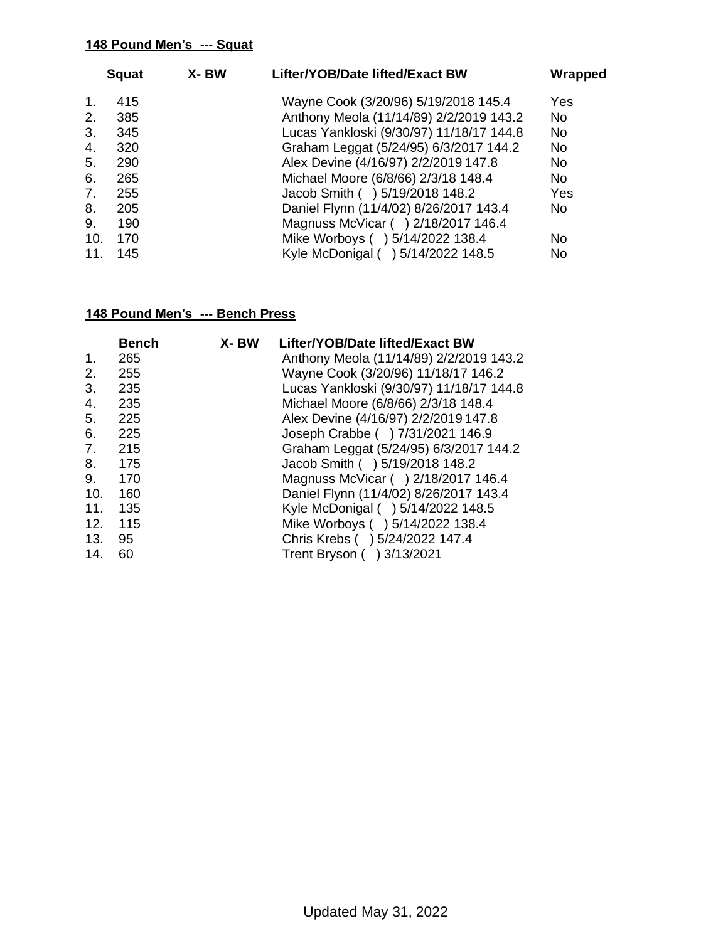|     | <b>Squat</b> | X-BW | Lifter/YOB/Date lifted/Exact BW          | Wrapped |
|-----|--------------|------|------------------------------------------|---------|
| 1.  | 415          |      | Wayne Cook (3/20/96) 5/19/2018 145.4     | Yes     |
| 2.  | 385          |      | Anthony Meola (11/14/89) 2/2/2019 143.2  | No.     |
| 3.  | 345          |      | Lucas Yankloski (9/30/97) 11/18/17 144.8 | No.     |
| 4.  | 320          |      | Graham Leggat (5/24/95) 6/3/2017 144.2   | No.     |
| 5.  | 290          |      | Alex Devine (4/16/97) 2/2/2019 147.8     | No.     |
| 6.  | 265          |      | Michael Moore (6/8/66) 2/3/18 148.4      | No.     |
| 7.  | 255          |      | Jacob Smith ( ) 5/19/2018 148.2          | Yes     |
| 8.  | 205          |      | Daniel Flynn (11/4/02) 8/26/2017 143.4   | No.     |
| 9.  | 190          |      | Magnuss McVicar ( ) 2/18/2017 146.4      |         |
| 10. | 170          |      | Mike Worboys ( ) 5/14/2022 138.4         | No      |
| 11. | 145          |      | Kyle McDonigal () 5/14/2022 148.5        | No      |

|     | <b>Bench</b> | X-BW | Lifter/YOB/Date lifted/Exact BW          |
|-----|--------------|------|------------------------------------------|
| 1.  | 265          |      | Anthony Meola (11/14/89) 2/2/2019 143.2  |
| 2.  | 255          |      | Wayne Cook (3/20/96) 11/18/17 146.2      |
| 3.  | 235          |      | Lucas Yankloski (9/30/97) 11/18/17 144.8 |
| 4.  | 235          |      | Michael Moore (6/8/66) 2/3/18 148.4      |
| 5.  | 225          |      | Alex Devine (4/16/97) 2/2/2019 147.8     |
| 6.  | 225          |      | Joseph Crabbe ( ) 7/31/2021 146.9        |
| 7.  | 215          |      | Graham Leggat (5/24/95) 6/3/2017 144.2   |
| 8.  | 175          |      | Jacob Smith () 5/19/2018 148.2           |
| 9.  | 170          |      | Magnuss McVicar () 2/18/2017 146.4       |
| 10. | 160          |      | Daniel Flynn (11/4/02) 8/26/2017 143.4   |
| 11. | 135          |      | Kyle McDonigal ( ) 5/14/2022 148.5       |
| 12. | 115          |      | Mike Worboys ( ) 5/14/2022 138.4         |
| 13. | 95           |      | Chris Krebs ( ) 5/24/2022 147.4          |
| 14. | 60           |      | Trent Bryson ( ) 3/13/2021               |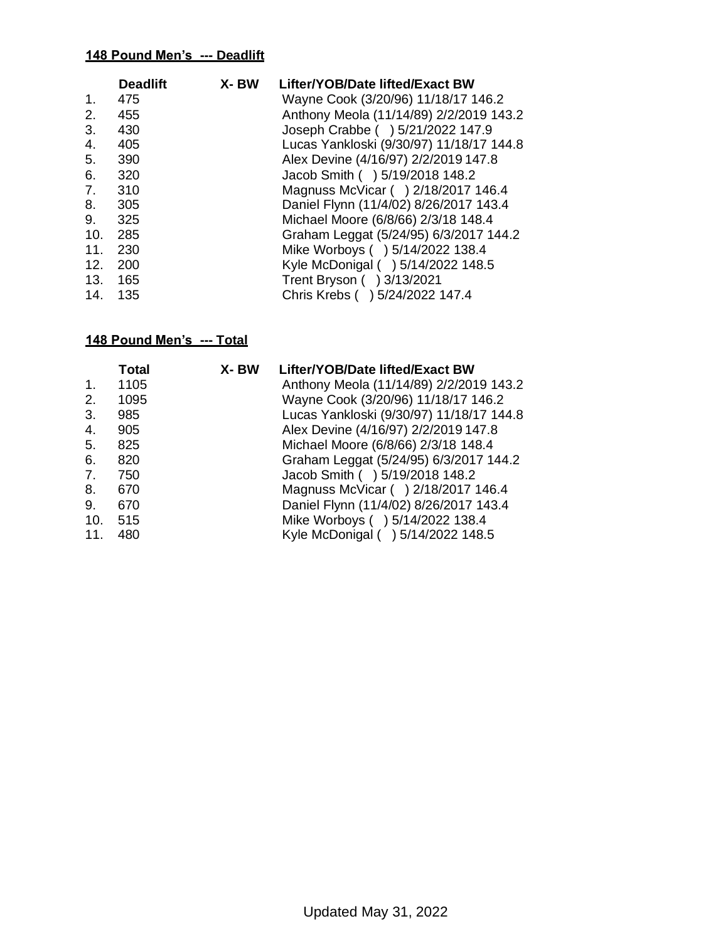|                | <b>Deadlift</b> | X-BW | Lifter/YOB/Date lifted/Exact BW          |
|----------------|-----------------|------|------------------------------------------|
| $\mathbf{1}$ . | 475             |      | Wayne Cook (3/20/96) 11/18/17 146.2      |
| 2.             | 455             |      | Anthony Meola (11/14/89) 2/2/2019 143.2  |
| 3.             | 430             |      | Joseph Crabbe ( ) 5/21/2022 147.9        |
| 4.             | 405             |      | Lucas Yankloski (9/30/97) 11/18/17 144.8 |
| 5.             | 390             |      | Alex Devine (4/16/97) 2/2/2019 147.8     |
| 6.             | 320             |      | Jacob Smith () 5/19/2018 148.2           |
| 7.             | 310             |      | Magnuss McVicar ( ) 2/18/2017 146.4      |
| 8.             | 305             |      | Daniel Flynn (11/4/02) 8/26/2017 143.4   |
| 9.             | 325             |      | Michael Moore (6/8/66) 2/3/18 148.4      |
| 10.            | 285             |      | Graham Leggat (5/24/95) 6/3/2017 144.2   |
| 11.            | 230             |      | Mike Worboys ( ) 5/14/2022 138.4         |
| 12.            | 200             |      | Kyle McDonigal ( ) 5/14/2022 148.5       |
|                | 13. 165         |      | Trent Bryson ( ) 3/13/2021               |
| 14.            | 135             |      | Chris Krebs ( ) 5/24/2022 147.4          |

| <b>Total</b> | X-BW | Lifter/YOB/Date lifted/Exact BW          |
|--------------|------|------------------------------------------|
| 1105         |      | Anthony Meola (11/14/89) 2/2/2019 143.2  |
| 1095         |      | Wayne Cook (3/20/96) 11/18/17 146.2      |
| 985          |      | Lucas Yankloski (9/30/97) 11/18/17 144.8 |
| 905          |      | Alex Devine (4/16/97) 2/2/2019 147.8     |
| 825          |      | Michael Moore (6/8/66) 2/3/18 148.4      |
| 820          |      | Graham Leggat (5/24/95) 6/3/2017 144.2   |
| 750          |      | Jacob Smith ( ) 5/19/2018 148.2          |
| 670          |      | Magnuss McVicar () 2/18/2017 146.4       |
| 670          |      | Daniel Flynn (11/4/02) 8/26/2017 143.4   |
| 515          |      | Mike Worboys ( ) 5/14/2022 138.4         |
| 480          |      | Kyle McDonigal ( ) 5/14/2022 148.5       |
|              |      |                                          |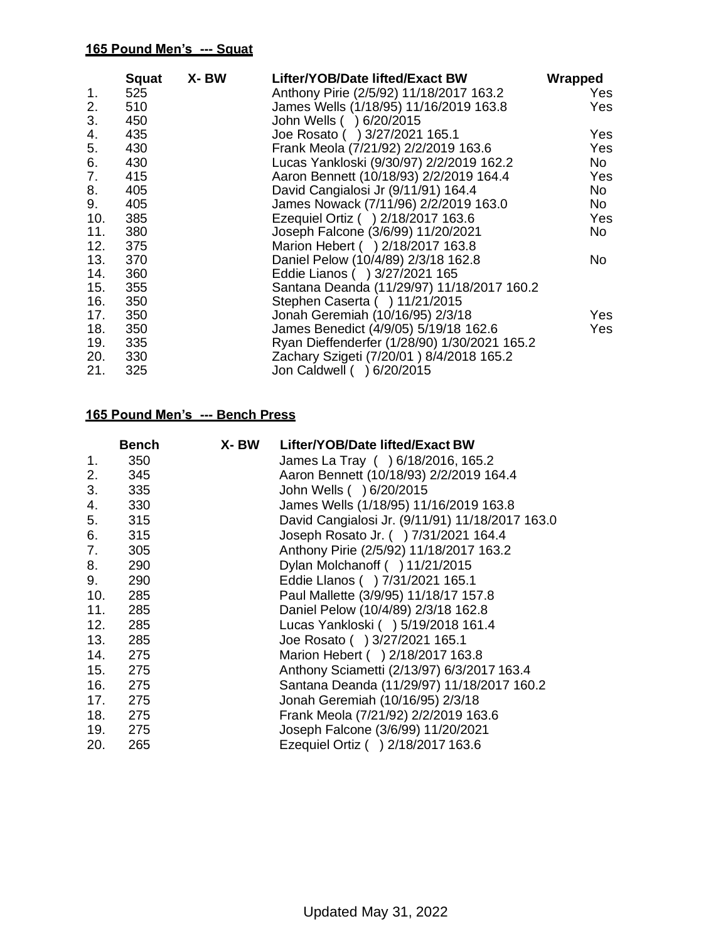|     | <b>Squat</b> | X- BW | Lifter/YOB/Date lifted/Exact BW              | Wrapped    |
|-----|--------------|-------|----------------------------------------------|------------|
| 1.  | 525          |       | Anthony Pirie (2/5/92) 11/18/2017 163.2      | Yes        |
| 2.  | 510          |       | James Wells (1/18/95) 11/16/2019 163.8       | Yes        |
| 3.  | 450          |       | John Wells ( ) 6/20/2015                     |            |
| 4.  | 435          |       | Joe Rosato () 3/27/2021 165.1                | Yes        |
| 5.  | 430          |       | Frank Meola (7/21/92) 2/2/2019 163.6         | <b>Yes</b> |
| 6.  | 430          |       | Lucas Yankloski (9/30/97) 2/2/2019 162.2     | No         |
| 7.  | 415          |       | Aaron Bennett (10/18/93) 2/2/2019 164.4      | Yes        |
| 8.  | 405          |       | David Cangialosi Jr (9/11/91) 164.4          | No         |
| 9.  | 405          |       | James Nowack (7/11/96) 2/2/2019 163.0        | No         |
| 10. | 385          |       | Ezequiel Ortiz () 2/18/2017 163.6            | Yes        |
| 11. | 380          |       | Joseph Falcone (3/6/99) 11/20/2021           | No         |
| 12. | 375          |       | Marion Hebert ( ) 2/18/2017 163.8            |            |
| 13. | 370          |       | Daniel Pelow (10/4/89) 2/3/18 162.8          | No.        |
| 14. | 360          |       | Eddie Lianos () 3/27/2021 165                |            |
| 15. | 355          |       | Santana Deanda (11/29/97) 11/18/2017 160.2   |            |
| 16. | 350          |       | Stephen Caserta ( ) 11/21/2015               |            |
| 17. | 350          |       | Jonah Geremiah (10/16/95) 2/3/18             | Yes        |
| 18. | 350          |       | James Benedict (4/9/05) 5/19/18 162.6        | Yes        |
| 19. | 335          |       | Ryan Dieffenderfer (1/28/90) 1/30/2021 165.2 |            |
| 20. | 330          |       | Zachary Szigeti (7/20/01) 8/4/2018 165.2     |            |
| 21. | 325          |       | Jon Caldwell ( ) 6/20/2015                   |            |

|     | <b>Bench</b> | X- BW | Lifter/YOB/Date lifted/Exact BW                 |
|-----|--------------|-------|-------------------------------------------------|
| 1.  | 350          |       | James La Tray ( ) 6/18/2016, 165.2              |
| 2.  | 345          |       | Aaron Bennett (10/18/93) 2/2/2019 164.4         |
| 3.  | 335          |       | John Wells ( ) 6/20/2015                        |
| 4.  | 330          |       | James Wells (1/18/95) 11/16/2019 163.8          |
| 5.  | 315          |       | David Cangialosi Jr. (9/11/91) 11/18/2017 163.0 |
| 6.  | 315          |       | Joseph Rosato Jr. ( ) 7/31/2021 164.4           |
| 7.  | 305          |       | Anthony Pirie (2/5/92) 11/18/2017 163.2         |
| 8.  | 290          |       | Dylan Molchanoff ( ) 11/21/2015                 |
| 9.  | 290          |       | Eddie Llanos () 7/31/2021 165.1                 |
| 10. | 285          |       | Paul Mallette (3/9/95) 11/18/17 157.8           |
| 11. | 285          |       | Daniel Pelow (10/4/89) 2/3/18 162.8             |
| 12. | 285          |       | Lucas Yankloski ( ) 5/19/2018 161.4             |
| 13. | 285          |       | Joe Rosato ( ) 3/27/2021 165.1                  |
| 14. | 275          |       | Marion Hebert ( ) 2/18/2017 163.8               |
| 15. | 275          |       | Anthony Sciametti (2/13/97) 6/3/2017 163.4      |
|     | 275          |       | Santana Deanda (11/29/97) 11/18/2017 160.2      |
| 17. | 275          |       | Jonah Geremiah (10/16/95) 2/3/18                |
| 18. | 275          |       | Frank Meola (7/21/92) 2/2/2019 163.6            |
| 19. | 275          |       | Joseph Falcone (3/6/99) 11/20/2021              |
| 20. | 265          |       | Ezequiel Ortiz ( ) 2/18/2017 163.6              |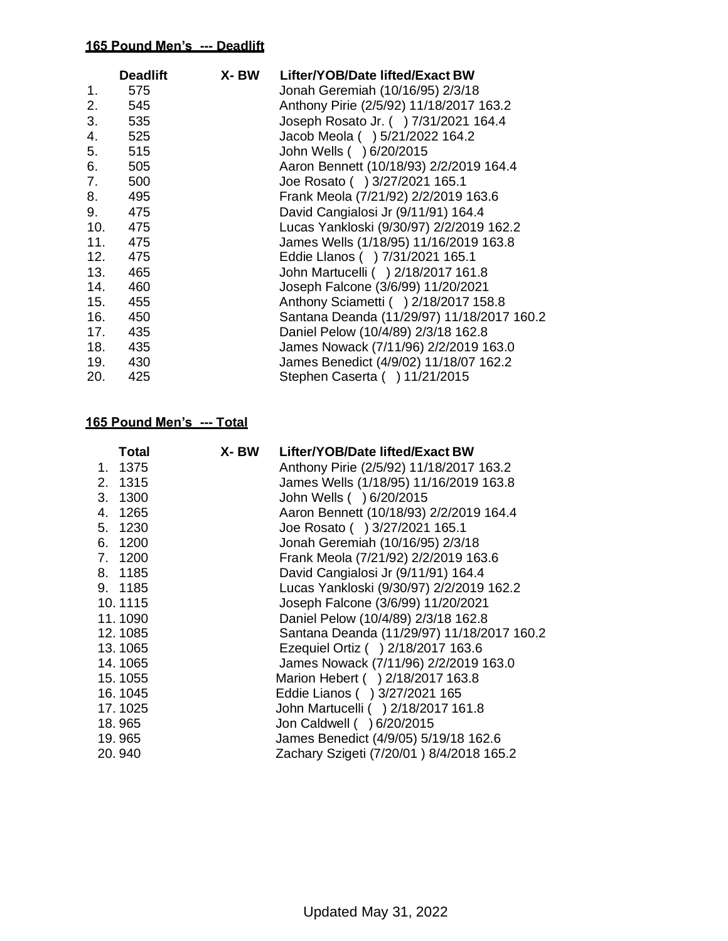|     | <b>Deadlift</b> | X- BW | Lifter/YOB/Date lifted/Exact BW            |
|-----|-----------------|-------|--------------------------------------------|
| 1.  | 575             |       | Jonah Geremiah (10/16/95) 2/3/18           |
| 2.  | 545             |       | Anthony Pirie (2/5/92) 11/18/2017 163.2    |
| 3.  | 535             |       | Joseph Rosato Jr. ( ) 7/31/2021 164.4      |
| 4.  | 525             |       | Jacob Meola ( ) 5/21/2022 164.2            |
| 5.  | 515             |       | John Wells ( ) 6/20/2015                   |
| 6.  | 505             |       | Aaron Bennett (10/18/93) 2/2/2019 164.4    |
| 7.  | 500             |       | Joe Rosato ( ) 3/27/2021 165.1             |
| 8.  | 495             |       | Frank Meola (7/21/92) 2/2/2019 163.6       |
| 9.  | 475             |       | David Cangialosi Jr (9/11/91) 164.4        |
| 10. | 475             |       | Lucas Yankloski (9/30/97) 2/2/2019 162.2   |
| 11. | 475             |       | James Wells (1/18/95) 11/16/2019 163.8     |
| 12. | 475             |       | Eddie Llanos () 7/31/2021 165.1            |
| 13. | 465             |       | John Martucelli ( ) 2/18/2017 161.8        |
| 14. | 460             |       | Joseph Falcone (3/6/99) 11/20/2021         |
| 15. | 455             |       | Anthony Sciametti ( ) 2/18/2017 158.8      |
| 16. | 450             |       | Santana Deanda (11/29/97) 11/18/2017 160.2 |
| 17. | 435             |       | Daniel Pelow (10/4/89) 2/3/18 162.8        |
| 18. | 435             |       | James Nowack (7/11/96) 2/2/2019 163.0      |
| 19. | 430             |       | James Benedict (4/9/02) 11/18/07 162.2     |
| 20. | 425             |       | Stephen Caserta ( ) 11/21/2015             |

|    | <b>Total</b> | X-BW | Lifter/YOB/Date lifted/Exact BW            |
|----|--------------|------|--------------------------------------------|
|    | 1. 1375      |      | Anthony Pirie (2/5/92) 11/18/2017 163.2    |
|    | 2. 1315      |      | James Wells (1/18/95) 11/16/2019 163.8     |
|    | 3. 1300      |      | John Wells ( ) 6/20/2015                   |
|    | 4. 1265      |      | Aaron Bennett (10/18/93) 2/2/2019 164.4    |
| 5. | 1230         |      | Joe Rosato ( ) 3/27/2021 165.1             |
|    | 6. 1200      |      | Jonah Geremiah (10/16/95) 2/3/18           |
|    | 7. 1200      |      | Frank Meola (7/21/92) 2/2/2019 163.6       |
|    | 8. 1185      |      | David Cangialosi Jr (9/11/91) 164.4        |
|    | 9. 1185      |      | Lucas Yankloski (9/30/97) 2/2/2019 162.2   |
|    | 10.1115      |      | Joseph Falcone (3/6/99) 11/20/2021         |
|    | 11.1090      |      | Daniel Pelow (10/4/89) 2/3/18 162.8        |
|    | 12.1085      |      | Santana Deanda (11/29/97) 11/18/2017 160.2 |
|    | 13.1065      |      | Ezequiel Ortiz ( ) 2/18/2017 163.6         |
|    | 14.1065      |      | James Nowack (7/11/96) 2/2/2019 163.0      |
|    | 15.1055      |      | Marion Hebert ( ) 2/18/2017 163.8          |
|    | 16.1045      |      | Eddie Lianos () 3/27/2021 165              |
|    | 17.1025      |      | John Martucelli ( ) 2/18/2017 161.8        |
|    | 18.965       |      | Jon Caldwell ( ) 6/20/2015                 |
|    | 19.965       |      | James Benedict (4/9/05) 5/19/18 162.6      |
|    | 20.940       |      | Zachary Szigeti (7/20/01) 8/4/2018 165.2   |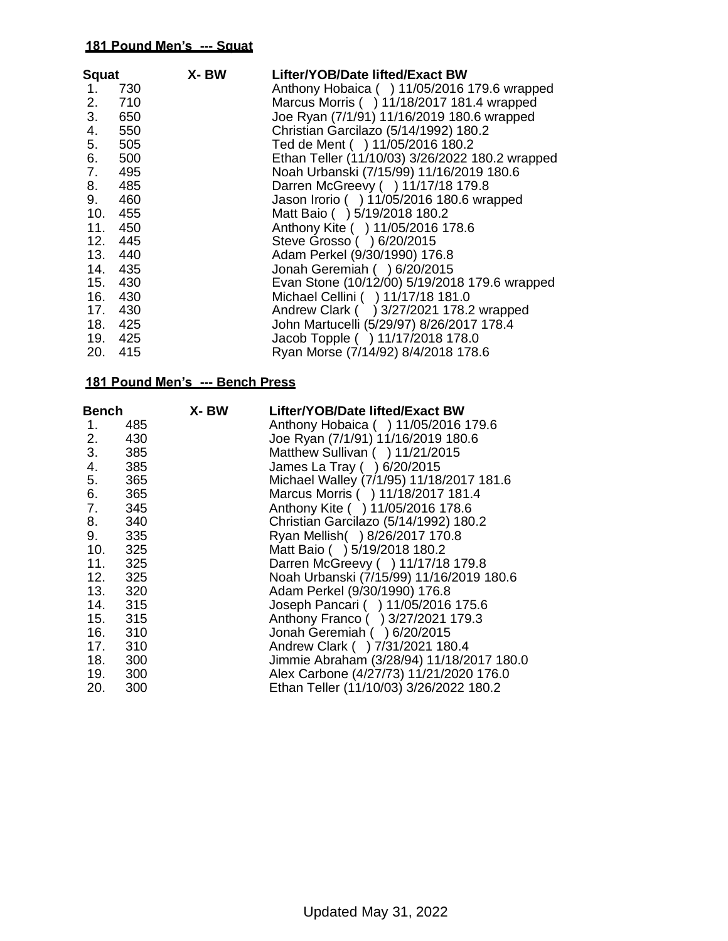| <b>Squat</b> |         | X-BW | Lifter/YOB/Date lifted/Exact BW                 |
|--------------|---------|------|-------------------------------------------------|
| 1.           | 730     |      | Anthony Hobaica () 11/05/2016 179.6 wrapped     |
| 2.           | 710     |      | Marcus Morris ( ) 11/18/2017 181.4 wrapped      |
| 3.           | 650     |      | Joe Ryan (7/1/91) 11/16/2019 180.6 wrapped      |
| 4.           | 550     |      | Christian Garcilazo (5/14/1992) 180.2           |
| 5.           | 505     |      | Ted de Ment ( ) 11/05/2016 180.2                |
| 6.           | 500     |      | Ethan Teller (11/10/03) 3/26/2022 180.2 wrapped |
| 7.           | 495     |      | Noah Urbanski (7/15/99) 11/16/2019 180.6        |
| 8.           | 485     |      | Darren McGreevy ( ) 11/17/18 179.8              |
| 9.           | 460     |      | Jason Irorio ( ) 11/05/2016 180.6 wrapped       |
| 10.          | 455     |      | Matt Baio () 5/19/2018 180.2                    |
| 11.          | 450     |      | Anthony Kite ( ) 11/05/2016 178.6               |
|              | 12. 445 |      | Steve Grosso ( ) 6/20/2015                      |
|              | 13. 440 |      | Adam Perkel (9/30/1990) 176.8                   |
|              | 14. 435 |      | Jonah Geremiah () 6/20/2015                     |
|              | 15. 430 |      | Evan Stone (10/12/00) 5/19/2018 179.6 wrapped   |
|              | 16. 430 |      | Michael Cellini ( ) 11/17/18 181.0              |
|              | 17. 430 |      | Andrew Clark ( ) 3/27/2021 178.2 wrapped        |
|              | 18. 425 |      | John Martucelli (5/29/97) 8/26/2017 178.4       |
|              | 19. 425 |      | Jacob Topple ( ) 11/17/2018 178.0               |
| 20.          | 415     |      | Ryan Morse (7/14/92) 8/4/2018 178.6             |

| Bench      | X- BW                                                      | Lifter/YOB/Date lifted/Exact BW           |
|------------|------------------------------------------------------------|-------------------------------------------|
| 485        |                                                            | Anthony Hobaica () 11/05/2016 179.6       |
| 430        |                                                            | Joe Ryan (7/1/91) 11/16/2019 180.6        |
| 385        |                                                            | Matthew Sullivan ( ) 11/21/2015           |
| 385        |                                                            | James La Tray ( ) 6/20/2015               |
| 365        |                                                            | Michael Walley (7/1/95) 11/18/2017 181.6  |
| 365        |                                                            | Marcus Morris ( ) 11/18/2017 181.4        |
| 345        |                                                            | Anthony Kite ( ) 11/05/2016 178.6         |
| 340<br>8.  |                                                            | Christian Garcilazo (5/14/1992) 180.2     |
| 335        |                                                            | Ryan Mellish() 8/26/2017 170.8            |
|            |                                                            | Matt Baio () 5/19/2018 180.2              |
| 11. 325    |                                                            | Darren McGreevy ( ) 11/17/18 179.8        |
| 12. 325    |                                                            | Noah Urbanski (7/15/99) 11/16/2019 180.6  |
|            |                                                            | Adam Perkel (9/30/1990) 176.8             |
|            |                                                            | Joseph Pancari ( ) 11/05/2016 175.6       |
| 15. 315    |                                                            | Anthony Franco () 3/27/2021 179.3         |
|            |                                                            | Jonah Geremiah () 6/20/2015               |
|            |                                                            | Andrew Clark ( ) 7/31/2021 180.4          |
|            |                                                            | Jimmie Abraham (3/28/94) 11/18/2017 180.0 |
| 19.<br>300 |                                                            | Alex Carbone (4/27/73) 11/21/2020 176.0   |
| 300        |                                                            | Ethan Teller (11/10/03) 3/26/2022 180.2   |
|            | 10. 325<br>13. 320<br>14. 315<br>16. 310<br>17. 310<br>300 |                                           |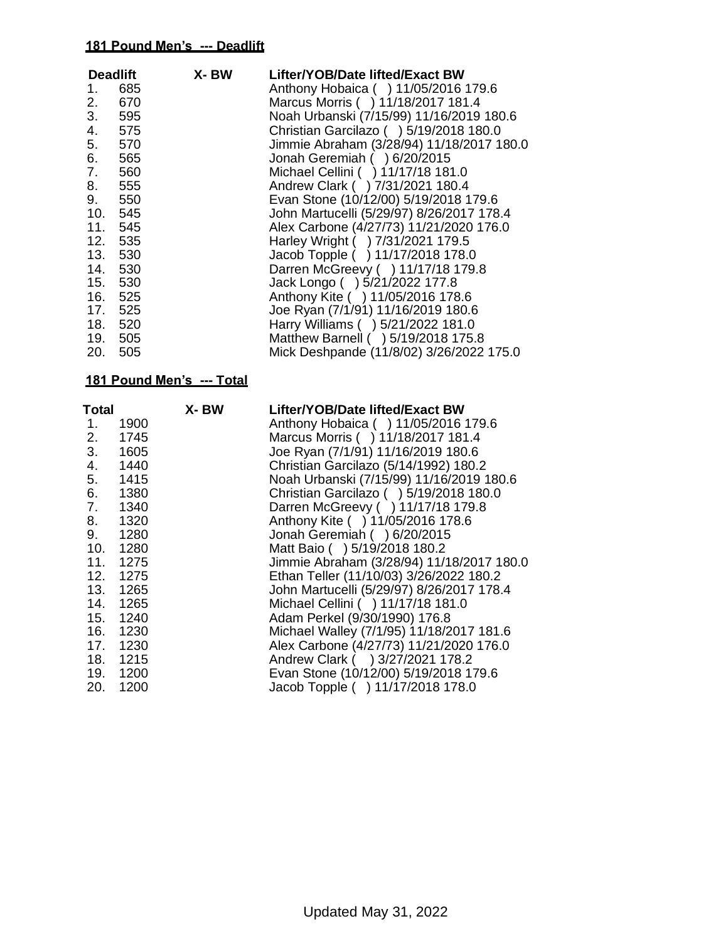| <b>Deadlift</b> |         | X-BW | Lifter/YOB/Date lifted/Exact BW           |
|-----------------|---------|------|-------------------------------------------|
| 1.              | 685     |      | Anthony Hobaica () 11/05/2016 179.6       |
| 2.              | 670     |      | Marcus Morris ( ) 11/18/2017 181.4        |
|                 | 3. 595  |      | Noah Urbanski (7/15/99) 11/16/2019 180.6  |
| 4.              | 575     |      | Christian Garcilazo () 5/19/2018 180.0    |
| 5.              | 570     |      | Jimmie Abraham (3/28/94) 11/18/2017 180.0 |
| 6.              | 565     |      | Jonah Geremiah () 6/20/2015               |
| 7.              | 560     |      | Michael Cellini ( ) 11/17/18 181.0        |
|                 | 555     |      | Andrew Clark ( ) 7/31/2021 180.4          |
| 9.              | 550     |      | Evan Stone (10/12/00) 5/19/2018 179.6     |
|                 | 10. 545 |      | John Martucelli (5/29/97) 8/26/2017 178.4 |
|                 | 11. 545 |      | Alex Carbone (4/27/73) 11/21/2020 176.0   |
|                 | 12. 535 |      | Harley Wright ( ) 7/31/2021 179.5         |
|                 | 13. 530 |      | Jacob Topple ( ) 11/17/2018 178.0         |
|                 | 14. 530 |      | Darren McGreevy ( ) 11/17/18 179.8        |
|                 | 15. 530 |      | Jack Longo ( ) 5/21/2022 177.8            |
|                 | 16. 525 |      | Anthony Kite ( ) 11/05/2016 178.6         |
|                 | 17. 525 |      | Joe Ryan (7/1/91) 11/16/2019 180.6        |
|                 | 18. 520 |      | Harry Williams ( ) 5/21/2022 181.0        |
|                 | 19. 505 |      | Matthew Barnell ( ) 5/19/2018 175.8       |
|                 | 20. 505 |      | Mick Deshpande (11/8/02) 3/26/2022 175.0  |

| Total |          | X-BW | Lifter/YOB/Date lifted/Exact BW           |
|-------|----------|------|-------------------------------------------|
| 1.    | 1900     |      | Anthony Hobaica () 11/05/2016 179.6       |
| 2.    | 1745     |      | Marcus Morris ( ) 11/18/2017 181.4        |
| 3.    | 1605     |      | Joe Ryan (7/1/91) 11/16/2019 180.6        |
| 4.    | 1440     |      | Christian Garcilazo (5/14/1992) 180.2     |
| 5.    | 1415     |      | Noah Urbanski (7/15/99) 11/16/2019 180.6  |
| 6.    | 1380     |      | Christian Garcilazo () 5/19/2018 180.0    |
| 7.    | 1340     |      | Darren McGreevy ( ) 11/17/18 179.8        |
| 8.    | 1320     |      | Anthony Kite ( ) 11/05/2016 178.6         |
| 9.    | 1280     |      | Jonah Geremiah () 6/20/2015               |
|       | 10. 1280 |      | Matt Baio ( ) 5/19/2018 180.2             |
|       | 11. 1275 |      | Jimmie Abraham (3/28/94) 11/18/2017 180.0 |
|       | 12. 1275 |      | Ethan Teller (11/10/03) 3/26/2022 180.2   |
|       | 13. 1265 |      | John Martucelli (5/29/97) 8/26/2017 178.4 |
|       | 14. 1265 |      | Michael Cellini ( ) 11/17/18 181.0        |
|       | 15. 1240 |      | Adam Perkel (9/30/1990) 176.8             |
|       | 16. 1230 |      | Michael Walley (7/1/95) 11/18/2017 181.6  |
|       | 17. 1230 |      | Alex Carbone (4/27/73) 11/21/2020 176.0   |
|       | 18. 1215 |      | Andrew Clark ( ) 3/27/2021 178.2          |
|       | 19. 1200 |      | Evan Stone (10/12/00) 5/19/2018 179.6     |
| 20.   | 1200     |      | Jacob Topple ( ) 11/17/2018 178.0         |
|       |          |      |                                           |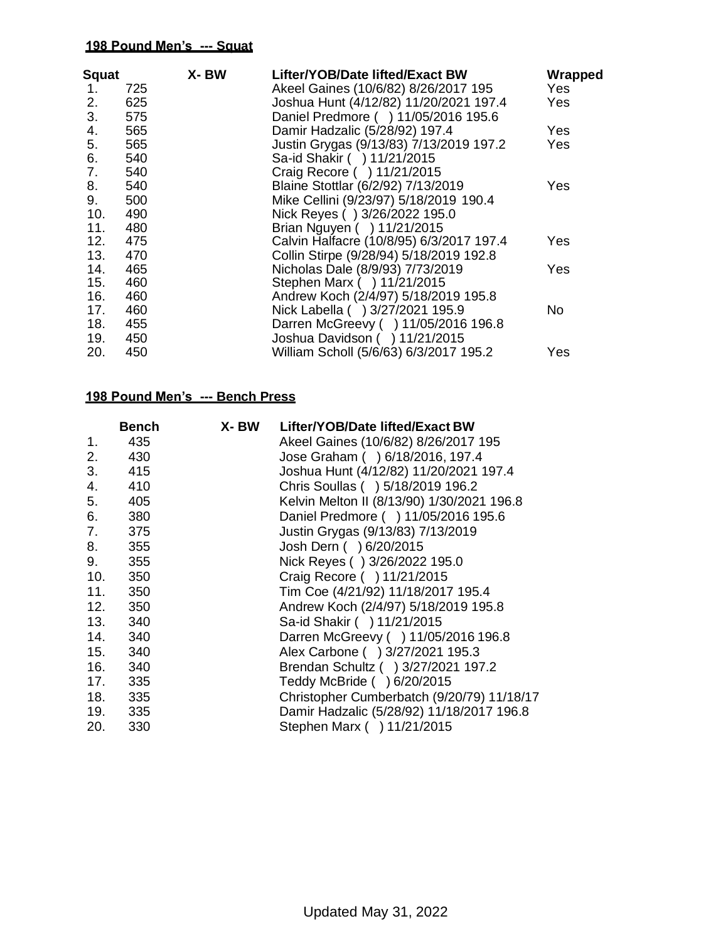| <b>Squat</b> |            | X-BW | Lifter/YOB/Date lifted/Exact BW                                                | Wrapped |
|--------------|------------|------|--------------------------------------------------------------------------------|---------|
| 1.           | 725        |      | Akeel Gaines (10/6/82) 8/26/2017 195                                           | Yes:    |
| 2.<br>3.     | 625        |      | Joshua Hunt (4/12/82) 11/20/2021 197.4<br>Daniel Predmore ( ) 11/05/2016 195.6 | Yes:    |
| 4.           | 575<br>565 |      | Damir Hadzalic (5/28/92) 197.4                                                 | Yes     |
|              | 565        |      | Justin Grygas (9/13/83) 7/13/2019 197.2                                        |         |
| 5.           |            |      |                                                                                | Yes     |
| 6.           | 540        |      | Sa-id Shakir ( ) 11/21/2015                                                    |         |
| 7.           | 540        |      | Craig Recore ( ) 11/21/2015                                                    |         |
| 8.           | 540        |      | Blaine Stottlar (6/2/92) 7/13/2019                                             | Yes     |
| 9.           | 500        |      | Mike Cellini (9/23/97) 5/18/2019 190.4                                         |         |
| 10.          | 490        |      | Nick Reyes () 3/26/2022 195.0                                                  |         |
| 11.          | 480        |      | Brian Nguyen ( ) 11/21/2015                                                    |         |
| 12.          | 475        |      | Calvin Halfacre (10/8/95) 6/3/2017 197.4                                       | Yes     |
| 13.          | 470        |      | Collin Stirpe (9/28/94) 5/18/2019 192.8                                        |         |
| 14.          | 465        |      | Nicholas Dale (8/9/93) 7/73/2019                                               | Yes     |
| 15.          | 460        |      | Stephen Marx ( ) 11/21/2015                                                    |         |
| 16.          | 460        |      | Andrew Koch (2/4/97) 5/18/2019 195.8                                           |         |
| 17.          | 460        |      | Nick Labella ( ) 3/27/2021 195.9                                               | No      |
| 18.          | 455        |      | Darren McGreevy ( ) 11/05/2016 196.8                                           |         |
| 19.          | 450        |      | Joshua Davidson ( ) 11/21/2015                                                 |         |
| 20.          | 450        |      | William Scholl (5/6/63) 6/3/2017 195.2                                         | Yes     |

|     | <b>Bench</b> | X- BW | Lifter/YOB/Date lifted/Exact BW            |
|-----|--------------|-------|--------------------------------------------|
| 1.  | 435          |       | Akeel Gaines (10/6/82) 8/26/2017 195       |
| 2.  | 430          |       | Jose Graham () 6/18/2016, 197.4            |
|     | 3.415        |       | Joshua Hunt (4/12/82) 11/20/2021 197.4     |
| 4.  | 410          |       | Chris Soullas ( ) 5/18/2019 196.2          |
| 5.  | 405          |       | Kelvin Melton II (8/13/90) 1/30/2021 196.8 |
| 6.  | 380          |       | Daniel Predmore ( ) 11/05/2016 195.6       |
| 7.  | 375          |       | Justin Grygas (9/13/83) 7/13/2019          |
| 8.  | 355          |       | Josh Dern ( ) 6/20/2015                    |
| 9.  | 355          |       | Nick Reyes () 3/26/2022 195.0              |
| 10. | 350          |       | Craig Recore ( ) 11/21/2015                |
| 11. | 350          |       | Tim Coe (4/21/92) 11/18/2017 195.4         |
| 12. | 350          |       | Andrew Koch (2/4/97) 5/18/2019 195.8       |
| 13. | 340          |       | Sa-id Shakir ( ) 11/21/2015                |
| 14. | 340          |       | Darren McGreevy ( ) 11/05/2016 196.8       |
| 15. | 340          |       | Alex Carbone ( ) 3/27/2021 195.3           |
| 16. | 340          |       | Brendan Schultz ( ) 3/27/2021 197.2        |
| 17. | 335          |       | Teddy McBride ( ) 6/20/2015                |
| 18. | 335          |       | Christopher Cumberbatch (9/20/79) 11/18/17 |
| 19. | 335          |       | Damir Hadzalic (5/28/92) 11/18/2017 196.8  |
| 20. | 330          |       | Stephen Marx ( ) 11/21/2015                |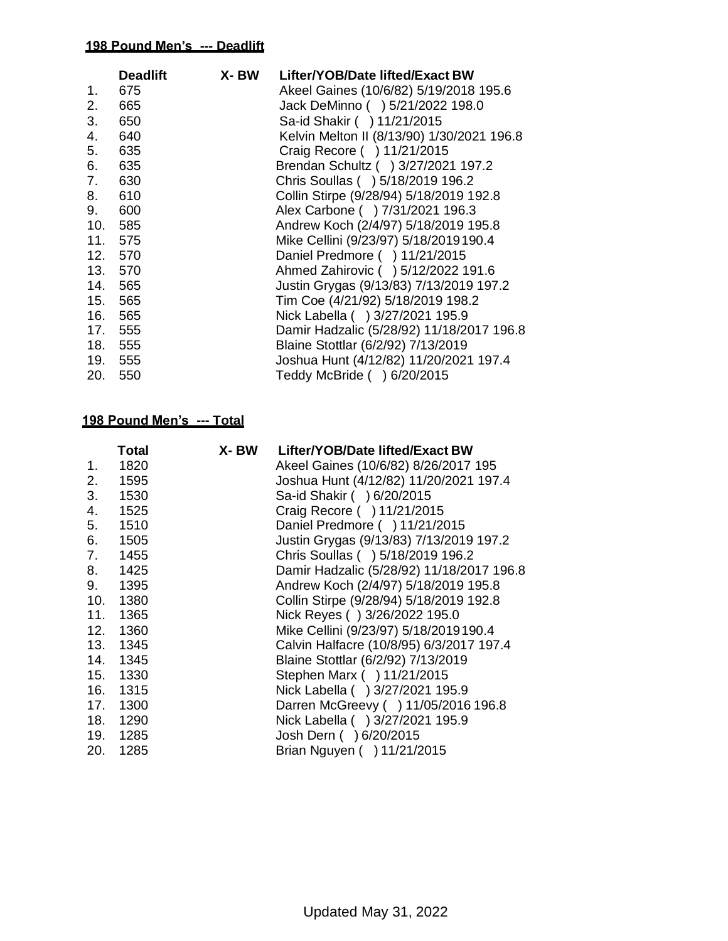|         | <b>Deadlift</b> | X- BW | Lifter/YOB/Date lifted/Exact BW            |
|---------|-----------------|-------|--------------------------------------------|
| 1.      | 675             |       | Akeel Gaines (10/6/82) 5/19/2018 195.6     |
| 2.      | 665             |       | Jack DeMinno ( ) 5/21/2022 198.0           |
| 3.      | 650             |       | Sa-id Shakir ( ) 11/21/2015                |
| 4.      | 640             |       | Kelvin Melton II (8/13/90) 1/30/2021 196.8 |
| 5.      | 635             |       | Craig Recore ( ) 11/21/2015                |
| 6.      | 635             |       | Brendan Schultz ( ) 3/27/2021 197.2        |
| 7.      | 630             |       | Chris Soullas ( ) 5/18/2019 196.2          |
| 8. 610  |                 |       | Collin Stirpe (9/28/94) 5/18/2019 192.8    |
| 9.      | 600             |       | Alex Carbone ( ) 7/31/2021 196.3           |
| 10.     | 585             |       | Andrew Koch (2/4/97) 5/18/2019 195.8       |
| 11.     | 575             |       | Mike Cellini (9/23/97) 5/18/2019190.4      |
| 12. 570 |                 |       | Daniel Predmore ( ) 11/21/2015             |
| 13. 570 |                 |       | Ahmed Zahirovic ( ) 5/12/2022 191.6        |
| 14. 565 |                 |       | Justin Grygas (9/13/83) 7/13/2019 197.2    |
| 15. 565 |                 |       | Tim Coe (4/21/92) 5/18/2019 198.2          |
| 16. 565 |                 |       | Nick Labella ( ) 3/27/2021 195.9           |
| 17.     | 555             |       | Damir Hadzalic (5/28/92) 11/18/2017 196.8  |
| 18. 555 |                 |       | Blaine Stottlar (6/2/92) 7/13/2019         |
| 19. 555 |                 |       | Joshua Hunt (4/12/82) 11/20/2021 197.4     |
| 20.     | 550             |       | Teddy McBride ( ) 6/20/2015                |

|     | Total | X- BW | Lifter/YOB/Date lifted/Exact BW           |
|-----|-------|-------|-------------------------------------------|
| 1.  | 1820  |       | Akeel Gaines (10/6/82) 8/26/2017 195      |
| 2.  | 1595  |       | Joshua Hunt (4/12/82) 11/20/2021 197.4    |
| 3.  | 1530  |       | Sa-id Shakir ( ) 6/20/2015                |
| 4.  | 1525  |       | Craig Recore ( ) 11/21/2015               |
| 5.  | 1510  |       | Daniel Predmore ( ) 11/21/2015            |
| 6.  | 1505  |       | Justin Grygas (9/13/83) 7/13/2019 197.2   |
| 7.  | 1455  |       | Chris Soullas ( ) 5/18/2019 196.2         |
| 8.  | 1425  |       | Damir Hadzalic (5/28/92) 11/18/2017 196.8 |
| 9.  | 1395  |       | Andrew Koch (2/4/97) 5/18/2019 195.8      |
| 10. | 1380  |       | Collin Stirpe (9/28/94) 5/18/2019 192.8   |
| 11. | 1365  |       | Nick Reyes () 3/26/2022 195.0             |
| 12. | 1360  |       | Mike Cellini (9/23/97) 5/18/2019190.4     |
| 13. | 1345  |       | Calvin Halfacre (10/8/95) 6/3/2017 197.4  |
| 14. | 1345  |       | Blaine Stottlar (6/2/92) 7/13/2019        |
| 15. | 1330  |       | Stephen Marx ( ) 11/21/2015               |
| 16. | 1315  |       | Nick Labella ( ) 3/27/2021 195.9          |
| 17. | 1300  |       | Darren McGreevy ( ) 11/05/2016 196.8      |
| 18. | 1290  |       | Nick Labella ( ) 3/27/2021 195.9          |
| 19. | 1285  |       | Josh Dern ( ) 6/20/2015                   |
| 20. | 1285  |       | Brian Nguyen ( ) 11/21/2015               |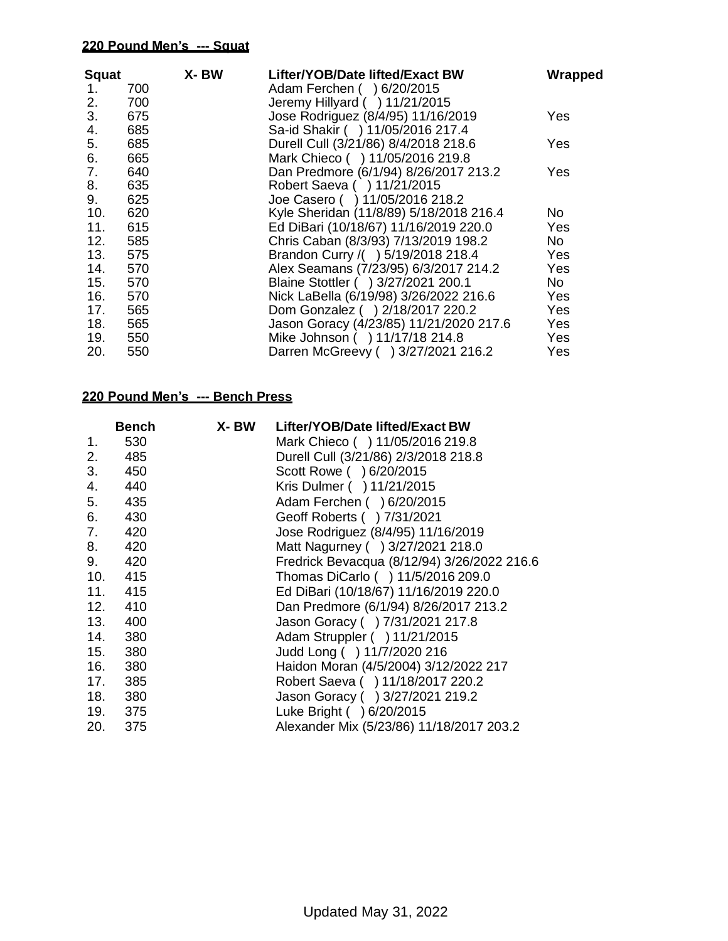| Squat<br>1. | 700        | X-BW | Lifter/YOB/Date lifted/Exact BW<br>Adam Ferchen ( ) 6/20/2015        | Wrapped |
|-------------|------------|------|----------------------------------------------------------------------|---------|
| 2.<br>3.    | 700<br>675 |      | Jeremy Hillyard ( ) 11/21/2015<br>Jose Rodriguez (8/4/95) 11/16/2019 | Yes     |
| 4.          | 685        |      | Sa-id Shakir ( ) 11/05/2016 217.4                                    |         |
| 5.          | 685        |      | Durell Cull (3/21/86) 8/4/2018 218.6                                 | Yes     |
| 6.          | 665        |      | Mark Chieco ( ) 11/05/2016 219.8                                     |         |
| 7.          | 640        |      | Dan Predmore (6/1/94) 8/26/2017 213.2                                | Yes     |
| 8.          | 635        |      | Robert Saeva ( ) 11/21/2015                                          |         |
| 9.          | 625        |      | Joe Casero ( ) 11/05/2016 218.2                                      |         |
| 10.         | 620        |      | Kyle Sheridan (11/8/89) 5/18/2018 216.4                              | No.     |
| 11.         | 615        |      | Ed DiBari (10/18/67) 11/16/2019 220.0                                | Yes     |
| 12.         | 585        |      | Chris Caban (8/3/93) 7/13/2019 198.2                                 | No.     |
| 13.         | 575        |      | Brandon Curry /( ) 5/19/2018 218.4                                   | Yes     |
| 14.         | 570        |      | Alex Seamans (7/23/95) 6/3/2017 214.2                                | Yes     |
| 15.         | 570        |      | Blaine Stottler ( ) 3/27/2021 200.1                                  | No      |
| 16.         | 570        |      | Nick LaBella (6/19/98) 3/26/2022 216.6                               | Yes     |
| 17.         | 565        |      | Dom Gonzalez ( ) 2/18/2017 220.2                                     | Yes     |
| 18.         | 565        |      | Jason Goracy (4/23/85) 11/21/2020 217.6                              | Yes     |
| 19.         | 550        |      | Mike Johnson ( ) 11/17/18 214.8                                      | Yes     |
| 20.         | 550        |      | Darren McGreevy ( ) 3/27/2021 216.2                                  | Yes     |

|     | Bench   | X- BW | Lifter/YOB/Date lifted/Exact BW             |
|-----|---------|-------|---------------------------------------------|
| 1.  | 530     |       | Mark Chieco ( ) 11/05/2016 219.8            |
| 2.  | 485     |       | Durell Cull (3/21/86) 2/3/2018 218.8        |
| 3.  | 450     |       | Scott Rowe ( ) 6/20/2015                    |
| 4.  | 440     |       | Kris Dulmer ( ) 11/21/2015                  |
| 5.  | 435     |       | Adam Ferchen ( ) 6/20/2015                  |
| 6.  | 430     |       | Geoff Roberts ( ) 7/31/2021                 |
| 7.  | 420     |       | Jose Rodriguez (8/4/95) 11/16/2019          |
| 8.  | 420     |       | Matt Nagurney ( ) 3/27/2021 218.0           |
| 9.  | 420     |       | Fredrick Bevacqua (8/12/94) 3/26/2022 216.6 |
| 10. | 415     |       | Thomas DiCarlo () 11/5/2016 209.0           |
| 11. | 415     |       | Ed DiBari (10/18/67) 11/16/2019 220.0       |
| 12. | 410     |       | Dan Predmore (6/1/94) 8/26/2017 213.2       |
| 13. | 400     |       | Jason Goracy ( ) 7/31/2021 217.8            |
| 14. | 380     |       | Adam Struppler ( ) 11/21/2015               |
| 15. | 380     |       | Judd Long ( ) 11/7/2020 216                 |
| 16. | 380     |       | Haidon Moran (4/5/2004) 3/12/2022 217       |
| 17. | 385     |       | Robert Saeva ( ) 11/18/2017 220.2           |
| 18. | 380     |       | Jason Goracy ( ) 3/27/2021 219.2            |
|     | 19. 375 |       | Luke Bright ( ) 6/20/2015                   |
| 20. | 375     |       | Alexander Mix (5/23/86) 11/18/2017 203.2    |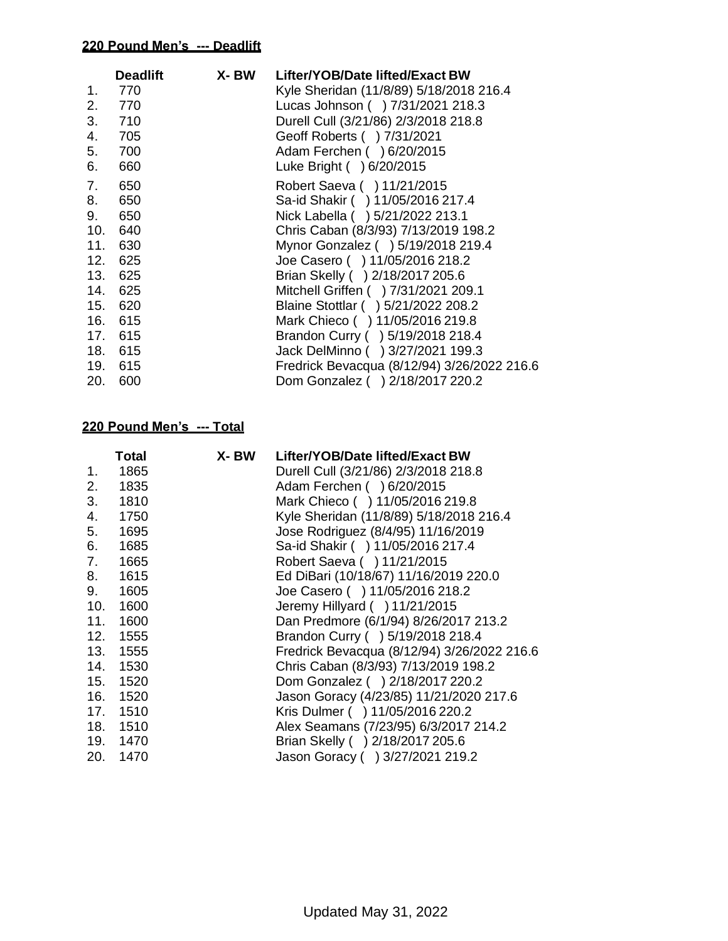|     | <b>Deadlift</b> | X- BW | Lifter/YOB/Date lifted/Exact BW             |
|-----|-----------------|-------|---------------------------------------------|
| 1.  | 770             |       | Kyle Sheridan (11/8/89) 5/18/2018 216.4     |
| 2.  | 770             |       | Lucas Johnson ( ) 7/31/2021 218.3           |
|     | 3. 710          |       | Durell Cull (3/21/86) 2/3/2018 218.8        |
| 4.  | 705             |       | Geoff Roberts ( ) 7/31/2021                 |
| 5.  | 700             |       | Adam Ferchen ( ) 6/20/2015                  |
| 6.  | 660             |       | Luke Bright ( ) 6/20/2015                   |
| 7.  | 650             |       | Robert Saeva ( ) 11/21/2015                 |
| 8.  | 650             |       | Sa-id Shakir ( ) 11/05/2016 217.4           |
| 9.  | 650             |       | Nick Labella ( ) 5/21/2022 213.1            |
| 10. | 640             |       | Chris Caban (8/3/93) 7/13/2019 198.2        |
| 11. | 630             |       | Mynor Gonzalez ( ) 5/19/2018 219.4          |
| 12. | 625             |       | Joe Casero ( ) 11/05/2016 218.2             |
| 13. | 625             |       | Brian Skelly ( ) 2/18/2017 205.6            |
|     | 14. 625         |       | Mitchell Griffen ( ) 7/31/2021 209.1        |
| 15. | 620             |       | Blaine Stottlar ( ) 5/21/2022 208.2         |
|     | 16. 615         |       | Mark Chieco ( ) 11/05/2016 219.8            |
|     | 17. 615         |       | Brandon Curry ( ) 5/19/2018 218.4           |
|     | 18. 615         |       | Jack DelMinno () 3/27/2021 199.3            |
|     | 19. 615         |       | Fredrick Bevacqua (8/12/94) 3/26/2022 216.6 |
| 20. | 600             |       | Dom Gonzalez ( ) 2/18/2017 220.2            |

|     | Total    | X-BW | Lifter/YOB/Date lifted/Exact BW             |
|-----|----------|------|---------------------------------------------|
| 1.  | 1865     |      | Durell Cull (3/21/86) 2/3/2018 218.8        |
| 2.  | 1835     |      | Adam Ferchen ( ) 6/20/2015                  |
| 3.  | 1810     |      | Mark Chieco ( ) 11/05/2016 219.8            |
| 4.  | 1750     |      | Kyle Sheridan (11/8/89) 5/18/2018 216.4     |
| 5.  | 1695     |      | Jose Rodriguez (8/4/95) 11/16/2019          |
| 6.  | 1685     |      | Sa-id Shakir ( ) 11/05/2016 217.4           |
| 7.  | 1665     |      | Robert Saeva ( ) 11/21/2015                 |
| 8.  | 1615     |      | Ed DiBari (10/18/67) 11/16/2019 220.0       |
| 9.  | 1605     |      | Joe Casero ( ) 11/05/2016 218.2             |
| 10. | 1600     |      | Jeremy Hillyard ( ) 11/21/2015              |
| 11. | 1600     |      | Dan Predmore (6/1/94) 8/26/2017 213.2       |
| 12. | 1555     |      | Brandon Curry ( ) 5/19/2018 218.4           |
| 13. | 1555     |      | Fredrick Bevacqua (8/12/94) 3/26/2022 216.6 |
| 14. | 1530     |      | Chris Caban (8/3/93) 7/13/2019 198.2        |
| 15. | 1520     |      | Dom Gonzalez ( ) 2/18/2017 220.2            |
|     | 16. 1520 |      | Jason Goracy (4/23/85) 11/21/2020 217.6     |
| 17. | 1510     |      | Kris Dulmer ( ) 11/05/2016 220.2            |
| 18. | 1510     |      | Alex Seamans (7/23/95) 6/3/2017 214.2       |
| 19. | 1470     |      | Brian Skelly ( ) 2/18/2017 205.6            |
| 20. | 1470     |      | Jason Goracy ( ) 3/27/2021 219.2            |
|     |          |      |                                             |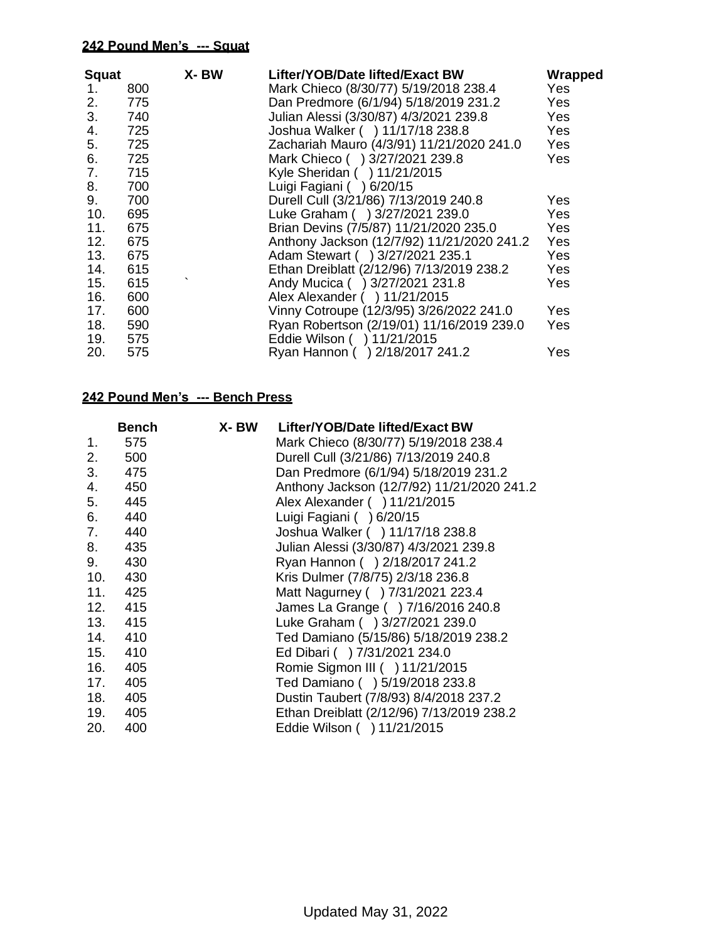| <b>Squat</b> |     | X-BW | Lifter/YOB/Date lifted/Exact BW            | Wrapped |
|--------------|-----|------|--------------------------------------------|---------|
| 1.           | 800 |      | Mark Chieco (8/30/77) 5/19/2018 238.4      | Yes     |
| 2.           | 775 |      | Dan Predmore (6/1/94) 5/18/2019 231.2      | Yes     |
| 3.           | 740 |      | Julian Alessi (3/30/87) 4/3/2021 239.8     | Yes     |
| 4.           | 725 |      | Joshua Walker ( ) 11/17/18 238.8           | Yes     |
| 5.           | 725 |      | Zachariah Mauro (4/3/91) 11/21/2020 241.0  | Yes     |
| 6.           | 725 |      | Mark Chieco () 3/27/2021 239.8             | Yes     |
| 7.           | 715 |      | Kyle Sheridan ( ) 11/21/2015               |         |
| 8.           | 700 |      | Luigi Fagiani ( ) 6/20/15                  |         |
| 9.           | 700 |      | Durell Cull (3/21/86) 7/13/2019 240.8      | Yes     |
| 10.          | 695 |      | Luke Graham ( ) 3/27/2021 239.0            | Yes     |
| 11.          | 675 |      | Brian Devins (7/5/87) 11/21/2020 235.0     | Yes     |
| 12.          | 675 |      | Anthony Jackson (12/7/92) 11/21/2020 241.2 | Yes     |
| 13.          | 675 |      | Adam Stewart ( ) 3/27/2021 235.1           | Yes     |
| 14.          | 615 |      | Ethan Dreiblatt (2/12/96) 7/13/2019 238.2  | Yes     |
| 15.          | 615 |      | Andy Mucica ( ) 3/27/2021 231.8            | Yes     |
| 16.          | 600 |      | Alex Alexander ( ) 11/21/2015              |         |
| 17.          | 600 |      | Vinny Cotroupe (12/3/95) 3/26/2022 241.0   | Yes     |
| 18.          | 590 |      | Ryan Robertson (2/19/01) 11/16/2019 239.0  | Yes     |
| 19.          | 575 |      | Eddie Wilson ( ) 11/21/2015                |         |
| 20.          | 575 |      | Ryan Hannon () 2/18/2017 241.2             | Yes     |

|     | <b>Bench</b> | X- BW | Lifter/YOB/Date lifted/Exact BW            |
|-----|--------------|-------|--------------------------------------------|
| 1.  | 575          |       | Mark Chieco (8/30/77) 5/19/2018 238.4      |
| 2.  | 500          |       | Durell Cull (3/21/86) 7/13/2019 240.8      |
| 3.  | 475          |       | Dan Predmore (6/1/94) 5/18/2019 231.2      |
| 4.  | 450          |       | Anthony Jackson (12/7/92) 11/21/2020 241.2 |
| 5.  | 445          |       | Alex Alexander ( ) 11/21/2015              |
| 6.  | 440          |       | Luigi Fagiani ( ) 6/20/15                  |
| 7.  | 440          |       | Joshua Walker ( ) 11/17/18 238.8           |
| 8.  | 435          |       | Julian Alessi (3/30/87) 4/3/2021 239.8     |
| 9.  | 430          |       | Ryan Hannon ( ) 2/18/2017 241.2            |
| 10. | 430          |       | Kris Dulmer (7/8/75) 2/3/18 236.8          |
| 11. | 425          |       | Matt Nagurney ( ) 7/31/2021 223.4          |
| 12. | 415          |       | James La Grange () 7/16/2016 240.8         |
|     | 13. 415      |       | Luke Graham ( ) 3/27/2021 239.0            |
|     | 14. 410      |       | Ted Damiano (5/15/86) 5/18/2019 238.2      |
| 15. | 410          |       | Ed Dibari ( ) 7/31/2021 234.0              |
| 16. | 405          |       | Romie Sigmon III ( ) 11/21/2015            |
| 17. | 405          |       | Ted Damiano () 5/19/2018 233.8             |
| 18. | 405          |       | Dustin Taubert (7/8/93) 8/4/2018 237.2     |
| 19. | 405          |       | Ethan Dreiblatt (2/12/96) 7/13/2019 238.2  |
| 20. | 400          |       | Eddie Wilson ( ) 11/21/2015                |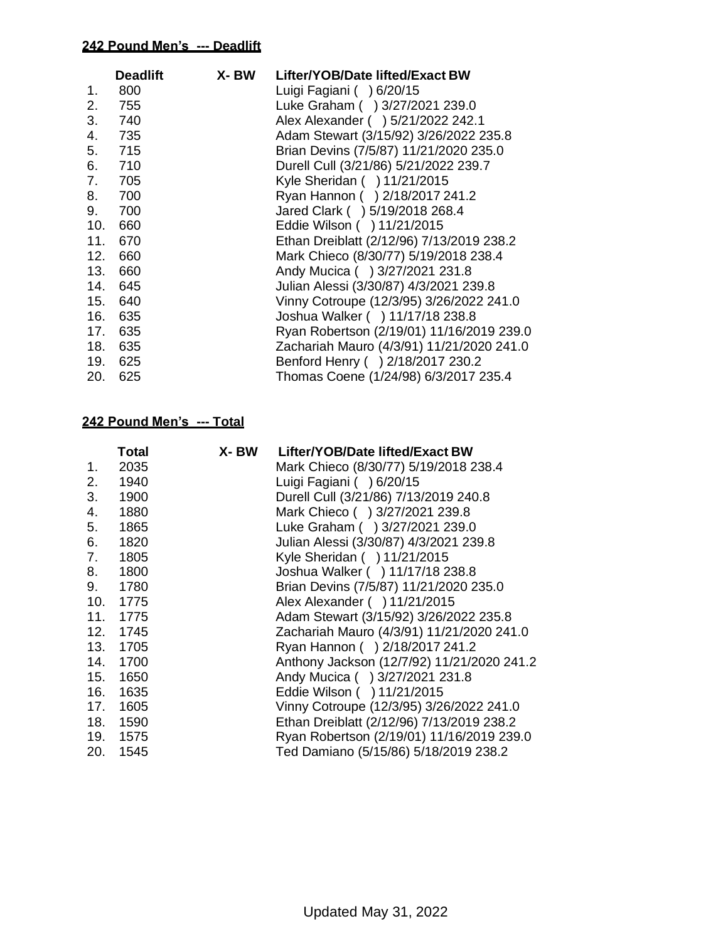|     | <b>Deadlift</b> | X-BW | Lifter/YOB/Date lifted/Exact BW           |
|-----|-----------------|------|-------------------------------------------|
| 1.  | 800             |      | Luigi Fagiani ( ) 6/20/15                 |
| 2.  | 755             |      | Luke Graham ( ) 3/27/2021 239.0           |
| 3.  | 740             |      | Alex Alexander ( ) 5/21/2022 242.1        |
| 4.  | 735             |      | Adam Stewart (3/15/92) 3/26/2022 235.8    |
| 5.  | 715             |      | Brian Devins (7/5/87) 11/21/2020 235.0    |
| 6.  | 710             |      | Durell Cull (3/21/86) 5/21/2022 239.7     |
| 7.  | 705             |      | Kyle Sheridan ( ) 11/21/2015              |
| 8.  | 700             |      | Ryan Hannon ( ) 2/18/2017 241.2           |
| 9.  | 700             |      | Jared Clark ( ) 5/19/2018 268.4           |
| 10. | 660             |      | Eddie Wilson ( ) 11/21/2015               |
| 11. | 670             |      | Ethan Dreiblatt (2/12/96) 7/13/2019 238.2 |
| 12. | 660             |      | Mark Chieco (8/30/77) 5/19/2018 238.4     |
| 13. | 660             |      | Andy Mucica ( ) 3/27/2021 231.8           |
| 14. | 645             |      | Julian Alessi (3/30/87) 4/3/2021 239.8    |
|     | 15. 640         |      | Vinny Cotroupe (12/3/95) 3/26/2022 241.0  |
| 16. | 635             |      | Joshua Walker ( ) 11/17/18 238.8          |
| 17. | 635             |      | Ryan Robertson (2/19/01) 11/16/2019 239.0 |
| 18. | 635             |      | Zachariah Mauro (4/3/91) 11/21/2020 241.0 |
| 19. | 625             |      | Benford Henry () 2/18/2017 230.2          |
| 20. | 625             |      | Thomas Coene (1/24/98) 6/3/2017 235.4     |
|     |                 |      |                                           |

|     | Total    | X- BW | Lifter/YOB/Date lifted/Exact BW            |
|-----|----------|-------|--------------------------------------------|
| 1.  | 2035     |       | Mark Chieco (8/30/77) 5/19/2018 238.4      |
| 2.  | 1940     |       | Luigi Fagiani ( ) 6/20/15                  |
| 3.  | 1900     |       | Durell Cull (3/21/86) 7/13/2019 240.8      |
| 4.  | 1880     |       | Mark Chieco ( ) 3/27/2021 239.8            |
| 5.  | 1865     |       | Luke Graham ( ) 3/27/2021 239.0            |
| 6.  | 1820     |       | Julian Alessi (3/30/87) 4/3/2021 239.8     |
| 7.  | 1805     |       | Kyle Sheridan ( ) 11/21/2015               |
| 8.  | 1800     |       | Joshua Walker ( ) 11/17/18 238.8           |
| 9.  | 1780     |       | Brian Devins (7/5/87) 11/21/2020 235.0     |
| 10. | 1775     |       | Alex Alexander ( ) 11/21/2015              |
| 11. | 1775     |       | Adam Stewart (3/15/92) 3/26/2022 235.8     |
| 12. | 1745     |       | Zachariah Mauro (4/3/91) 11/21/2020 241.0  |
| 13. | 1705     |       | Ryan Hannon () 2/18/2017 241.2             |
| 14. | 1700     |       | Anthony Jackson (12/7/92) 11/21/2020 241.2 |
| 15. | 1650     |       | Andy Mucica ( ) 3/27/2021 231.8            |
| 16. | 1635     |       | Eddie Wilson ( ) 11/21/2015                |
| 17. | 1605     |       | Vinny Cotroupe (12/3/95) 3/26/2022 241.0   |
| 18. | 1590     |       | Ethan Dreiblatt (2/12/96) 7/13/2019 238.2  |
|     | 19. 1575 |       | Ryan Robertson (2/19/01) 11/16/2019 239.0  |
| 20. | 1545     |       | Ted Damiano (5/15/86) 5/18/2019 238.2      |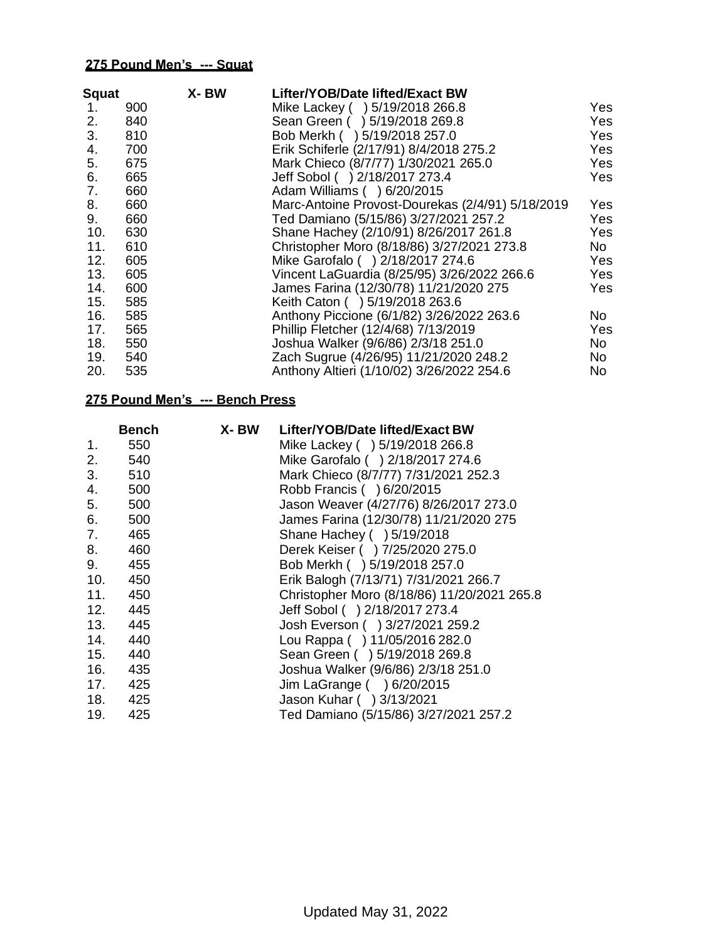| <b>Squat</b> |     | X-BW | Lifter/YOB/Date lifted/Exact BW                  |      |
|--------------|-----|------|--------------------------------------------------|------|
| 1.           | 900 |      | Mike Lackey () 5/19/2018 266.8                   | Yes  |
| 2.           | 840 |      | Sean Green ( ) 5/19/2018 269.8                   | Yes. |
| 3.           | 810 |      | Bob Merkh ( ) 5/19/2018 257.0                    | Yes  |
| 4.           | 700 |      | Erik Schiferle (2/17/91) 8/4/2018 275.2          | Yes. |
| 5.           | 675 |      | Mark Chieco (8/7/77) 1/30/2021 265.0             | Yes  |
| 6.           | 665 |      | Jeff Sobol ( ) 2/18/2017 273.4                   | Yes  |
| 7.           | 660 |      | Adam Williams ( ) 6/20/2015                      |      |
| 8.           | 660 |      | Marc-Antoine Provost-Dourekas (2/4/91) 5/18/2019 | Yes: |
| 9.           | 660 |      | Ted Damiano (5/15/86) 3/27/2021 257.2            | Yes  |
| 10.          | 630 |      | Shane Hachey (2/10/91) 8/26/2017 261.8           | Yes  |
| 11.          | 610 |      | Christopher Moro (8/18/86) 3/27/2021 273.8       | No l |
| 12.          | 605 |      | Mike Garofalo () 2/18/2017 274.6                 | Yes  |
| 13.          | 605 |      | Vincent LaGuardia (8/25/95) 3/26/2022 266.6      | Yes. |
| 14.          | 600 |      | James Farina (12/30/78) 11/21/2020 275           | Yes  |
| 15.          | 585 |      | Keith Caton ( ) 5/19/2018 263.6                  |      |
| 16.          | 585 |      | Anthony Piccione (6/1/82) 3/26/2022 263.6        | No.  |
| 17.          | 565 |      | Phillip Fletcher (12/4/68) 7/13/2019             | Yes  |
| 18.          | 550 |      | Joshua Walker (9/6/86) 2/3/18 251.0              | No.  |
| 19.          | 540 |      | Zach Sugrue (4/26/95) 11/21/2020 248.2           | No   |
| 20.          | 535 |      | Anthony Altieri (1/10/02) 3/26/2022 254.6        | No.  |
|              |     |      |                                                  |      |

|     | <b>Bench</b> | X- BW | Lifter/YOB/Date lifted/Exact BW             |
|-----|--------------|-------|---------------------------------------------|
| 1.  | 550          |       | Mike Lackey ( ) 5/19/2018 266.8             |
| 2.  | 540          |       | Mike Garofalo ( ) 2/18/2017 274.6           |
| 3.  | 510          |       | Mark Chieco (8/7/77) 7/31/2021 252.3        |
| 4.  | 500          |       | Robb Francis ( ) 6/20/2015                  |
| 5.  | 500          |       | Jason Weaver (4/27/76) 8/26/2017 273.0      |
| 6.  | 500          |       | James Farina (12/30/78) 11/21/2020 275      |
| 7.  | 465          |       | Shane Hachey ( ) 5/19/2018                  |
| 8.  | 460          |       | Derek Keiser ( ) 7/25/2020 275.0            |
| 9.  | 455          |       | Bob Merkh ( ) 5/19/2018 257.0               |
| 10. | 450          |       | Erik Balogh (7/13/71) 7/31/2021 266.7       |
| 11. | 450          |       | Christopher Moro (8/18/86) 11/20/2021 265.8 |
| 12. | 445          |       | Jeff Sobol ( ) 2/18/2017 273.4              |
| 13. | 445          |       | Josh Everson ( ) 3/27/2021 259.2            |
| 14. | 440          |       | Lou Rappa ( ) 11/05/2016 282.0              |
| 15. | 440          |       | Sean Green ( ) 5/19/2018 269.8              |
| 16. | 435          |       | Joshua Walker (9/6/86) 2/3/18 251.0         |
| 17. | 425          |       | Jim LaGrange ( ) 6/20/2015                  |
| 18. | 425          |       | Jason Kuhar ( ) 3/13/2021                   |
| 19. | 425          |       | Ted Damiano (5/15/86) 3/27/2021 257.2       |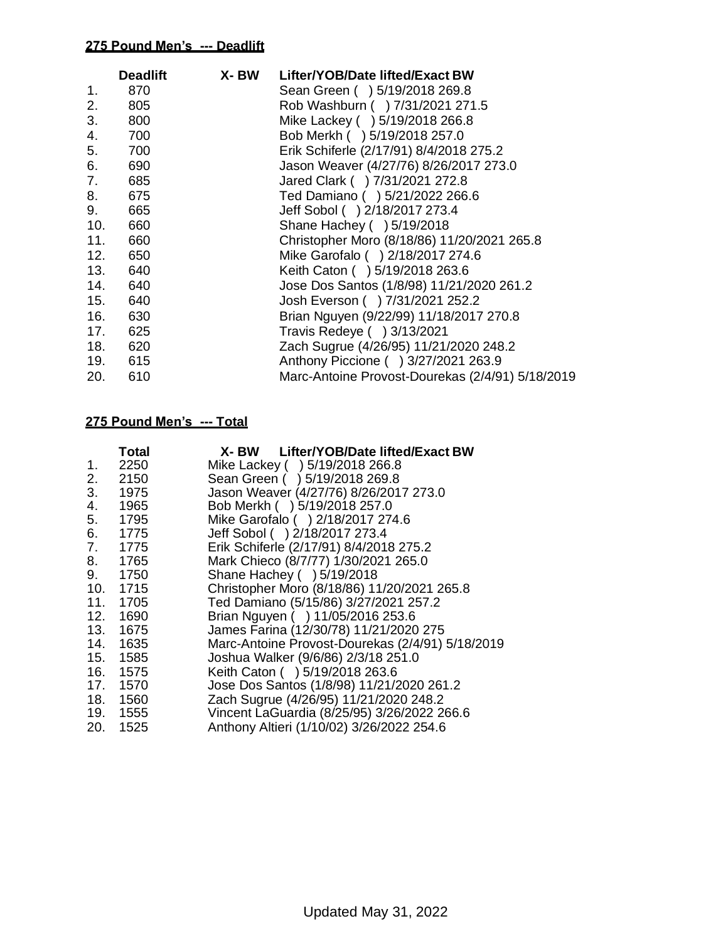|     | <b>Deadlift</b> | X- BW | Lifter/YOB/Date lifted/Exact BW                  |
|-----|-----------------|-------|--------------------------------------------------|
| 1.  | 870             |       | Sean Green ( ) 5/19/2018 269.8                   |
| 2.  | 805             |       | Rob Washburn ( ) 7/31/2021 271.5                 |
| 3.  | 800             |       | Mike Lackey ( ) 5/19/2018 266.8                  |
| 4.  | 700             |       | Bob Merkh ( ) 5/19/2018 257.0                    |
| 5.  | 700             |       | Erik Schiferle (2/17/91) 8/4/2018 275.2          |
| 6.  | 690             |       | Jason Weaver (4/27/76) 8/26/2017 273.0           |
| 7.  | 685             |       | Jared Clark ( ) 7/31/2021 272.8                  |
| 8.  | 675             |       | Ted Damiano () 5/21/2022 266.6                   |
| 9.  | 665             |       | Jeff Sobol ( ) 2/18/2017 273.4                   |
| 10. | 660             |       | Shane Hachey ( ) 5/19/2018                       |
| 11. | 660             |       | Christopher Moro (8/18/86) 11/20/2021 265.8      |
| 12. | 650             |       | Mike Garofalo () 2/18/2017 274.6                 |
| 13. | 640             |       | Keith Caton ( ) 5/19/2018 263.6                  |
| 14. | 640             |       | Jose Dos Santos (1/8/98) 11/21/2020 261.2        |
| 15. | 640             |       | Josh Everson ( ) 7/31/2021 252.2                 |
| 16. | 630             |       | Brian Nguyen (9/22/99) 11/18/2017 270.8          |
| 17. | 625             |       | Travis Redeye ( ) 3/13/2021                      |
|     | 18. 620         |       | Zach Sugrue (4/26/95) 11/21/2020 248.2           |
|     | 19. 615         |       | Anthony Piccione ( ) 3/27/2021 263.9             |
| 20. | 610             |       | Marc-Antoine Provost-Dourekas (2/4/91) 5/18/2019 |

|     | Total    | X- BW Lifter/YOB/Date lifted/Exact BW            |
|-----|----------|--------------------------------------------------|
| 1.  | 2250     | Mike Lackey ( ) 5/19/2018 266.8                  |
| 2.  | 2150     | Sean Green ( ) 5/19/2018 269.8                   |
| 3.  | 1975     | Jason Weaver (4/27/76) 8/26/2017 273.0           |
| 4.  | 1965     | Bob Merkh ( ) 5/19/2018 257.0                    |
| 5.  | 1795     | Mike Garofalo ( ) 2/18/2017 274.6                |
| 6.  | 1775     | Jeff Sobol ( ) 2/18/2017 273.4                   |
| 7.  | 1775     | Erik Schiferle (2/17/91) 8/4/2018 275.2          |
| 8.  | 1765     | Mark Chieco (8/7/77) 1/30/2021 265.0             |
| 9.  | 1750     | Shane Hachey ( ) 5/19/2018                       |
|     | 10. 1715 | Christopher Moro (8/18/86) 11/20/2021 265.8      |
| 11. | 1705     | Ted Damiano (5/15/86) 3/27/2021 257.2            |
|     | 12. 1690 | Brian Nguyen ( ) 11/05/2016 253.6                |
|     | 13. 1675 | James Farina (12/30/78) 11/21/2020 275           |
|     | 14. 1635 | Marc-Antoine Provost-Dourekas (2/4/91) 5/18/2019 |
|     | 15. 1585 | Joshua Walker (9/6/86) 2/3/18 251.0              |
|     | 16. 1575 | Keith Caton ( ) 5/19/2018 263.6                  |
|     | 17. 1570 | Jose Dos Santos (1/8/98) 11/21/2020 261.2        |
|     | 18. 1560 | Zach Sugrue (4/26/95) 11/21/2020 248.2           |
|     | 19. 1555 | Vincent LaGuardia (8/25/95) 3/26/2022 266.6      |
|     | 20. 1525 | Anthony Altieri (1/10/02) 3/26/2022 254.6        |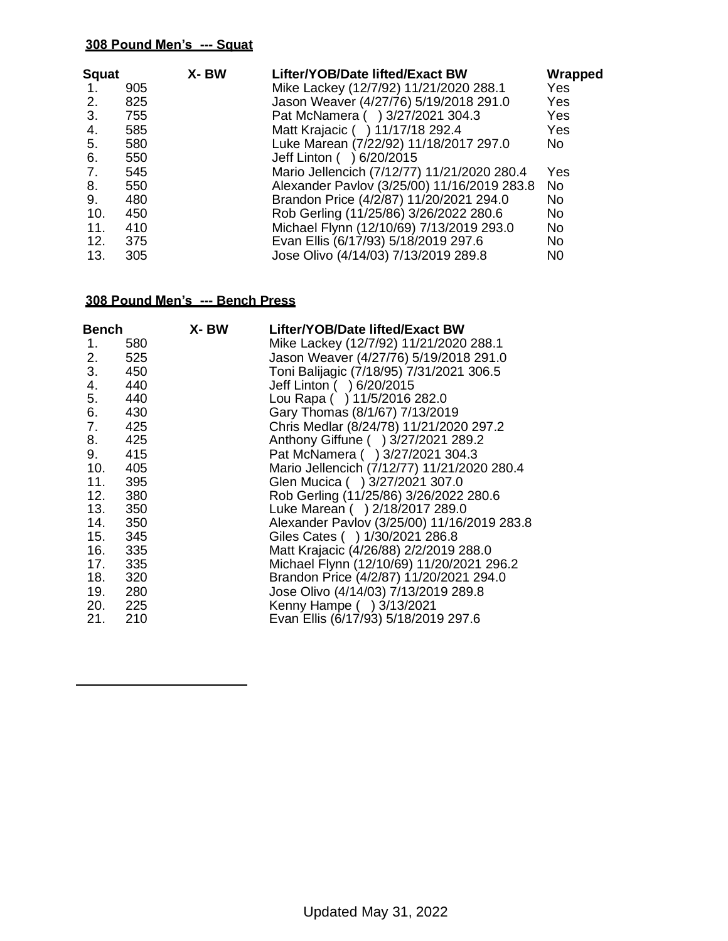| <b>Squat</b> |     | X-BW | Lifter/YOB/Date lifted/Exact BW             | Wrapped        |
|--------------|-----|------|---------------------------------------------|----------------|
| -1.          | 905 |      | Mike Lackey (12/7/92) 11/21/2020 288.1      | Yes            |
| 2.           | 825 |      | Jason Weaver (4/27/76) 5/19/2018 291.0      | Yes            |
| 3.           | 755 |      | Pat McNamera ( ) 3/27/2021 304.3            | Yes            |
| 4.           | 585 |      | Matt Krajacic ( ) 11/17/18 292.4            | Yes            |
| 5.           | 580 |      | Luke Marean (7/22/92) 11/18/2017 297.0      | No.            |
| 6.           | 550 |      | Jeff Linton ( ) 6/20/2015                   |                |
| 7.           | 545 |      | Mario Jellencich (7/12/77) 11/21/2020 280.4 | Yes            |
| 8.           | 550 |      | Alexander Pavlov (3/25/00) 11/16/2019 283.8 | <b>No</b>      |
| 9.           | 480 |      | Brandon Price (4/2/87) 11/20/2021 294.0     | No             |
| 10.          | 450 |      | Rob Gerling (11/25/86) 3/26/2022 280.6      | <b>No</b>      |
| 11.          | 410 |      | Michael Flynn (12/10/69) 7/13/2019 293.0    | No             |
| 12.          | 375 |      | Evan Ellis (6/17/93) 5/18/2019 297.6        | No.            |
| 13.          | 305 |      | Jose Olivo (4/14/03) 7/13/2019 289.8        | N <sub>0</sub> |

|     | X- BW                                                                                              | Lifter/YOB/Date lifted/Exact BW             |
|-----|----------------------------------------------------------------------------------------------------|---------------------------------------------|
| 580 |                                                                                                    | Mike Lackey (12/7/92) 11/21/2020 288.1      |
| 525 |                                                                                                    | Jason Weaver (4/27/76) 5/19/2018 291.0      |
| 450 |                                                                                                    | Toni Balijagic (7/18/95) 7/31/2021 306.5    |
| 440 |                                                                                                    | Jeff Linton ( ) 6/20/2015                   |
| 440 |                                                                                                    | Lou Rapa () 11/5/2016 282.0                 |
| 430 |                                                                                                    | Gary Thomas (8/1/67) 7/13/2019              |
| 425 |                                                                                                    | Chris Medlar (8/24/78) 11/21/2020 297.2     |
| 425 |                                                                                                    | Anthony Giffune ( ) 3/27/2021 289.2         |
| 415 |                                                                                                    | Pat McNamera ( ) 3/27/2021 304.3            |
| 405 |                                                                                                    | Mario Jellencich (7/12/77) 11/21/2020 280.4 |
| 395 |                                                                                                    | Glen Mucica ( ) 3/27/2021 307.0             |
| 380 |                                                                                                    | Rob Gerling (11/25/86) 3/26/2022 280.6      |
| 350 |                                                                                                    | Luke Marean ( ) 2/18/2017 289.0             |
| 350 |                                                                                                    | Alexander Pavlov (3/25/00) 11/16/2019 283.8 |
|     |                                                                                                    | Giles Cates ( ) 1/30/2021 286.8             |
|     |                                                                                                    | Matt Krajacic (4/26/88) 2/2/2019 288.0      |
|     |                                                                                                    | Michael Flynn (12/10/69) 11/20/2021 296.2   |
|     |                                                                                                    | Brandon Price (4/2/87) 11/20/2021 294.0     |
|     |                                                                                                    | Jose Olivo (4/14/03) 7/13/2019 289.8        |
|     |                                                                                                    | Kenny Hampe ( ) 3/13/2021                   |
|     |                                                                                                    | Evan Ellis (6/17/93) 5/18/2019 297.6        |
|     | <b>Bench</b><br>8.<br>11.<br>12.<br>345<br>- 335<br>335<br>320<br>19. 280<br>20. 225<br>210<br>21. |                                             |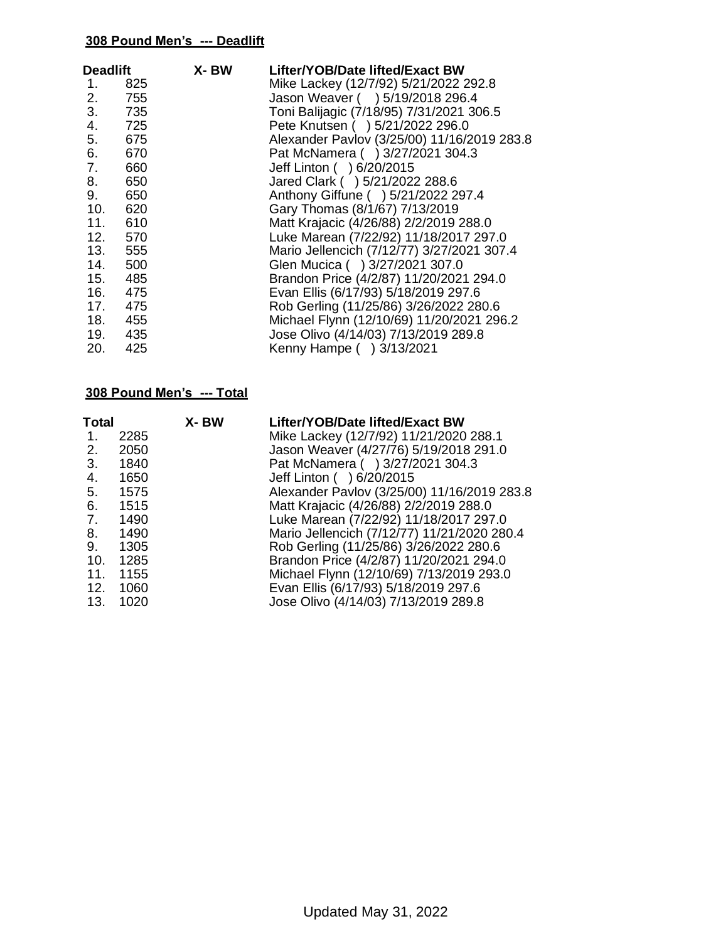| <b>Deadlift</b> |       | X-BW | Lifter/YOB/Date lifted/Exact BW             |
|-----------------|-------|------|---------------------------------------------|
| 1.              | 825   |      | Mike Lackey (12/7/92) 5/21/2022 292.8       |
| 2.              | 755   |      | Jason Weaver ( ) 5/19/2018 296.4            |
| 3.              | 735   |      | Toni Balijagic (7/18/95) 7/31/2021 306.5    |
| 4.              | 725   |      | Pete Knutsen ( ) 5/21/2022 296.0            |
| 5. 675          |       |      | Alexander Pavlov (3/25/00) 11/16/2019 283.8 |
|                 | 670   |      | Pat McNamera ( ) 3/27/2021 304.3            |
| 7.              | 660   |      | Jeff Linton ( ) 6/20/2015                   |
|                 | 650   |      | Jared Clark ( ) 5/21/2022 288.6             |
| 9.              | 650   |      | Anthony Giffune ( ) 5/21/2022 297.4         |
| 10.             | 620   |      | Gary Thomas (8/1/67) 7/13/2019              |
| 11. 610         |       |      | Matt Krajacic (4/26/88) 2/2/2019 288.0      |
| 12. 570         |       |      | Luke Marean (7/22/92) 11/18/2017 297.0      |
| 13.             | 555   |      | Mario Jellencich (7/12/77) 3/27/2021 307.4  |
| 14. 500         |       |      | Glen Mucica ( ) 3/27/2021 307.0             |
| 15.             | 485   |      | Brandon Price (4/2/87) 11/20/2021 294.0     |
| 16.             | - 475 |      | Evan Ellis (6/17/93) 5/18/2019 297.6        |
| 17. 475         |       |      | Rob Gerling (11/25/86) 3/26/2022 280.6      |
| 18.             | - 455 |      | Michael Flynn (12/10/69) 11/20/2021 296.2   |
| 19.             | 435   |      | Jose Olivo (4/14/03) 7/13/2019 289.8        |
| 20.             | 425   |      | Kenny Hampe () 3/13/2021                    |

| <b>Total</b> |      | X-BW | Lifter/YOB/Date lifted/Exact BW             |
|--------------|------|------|---------------------------------------------|
| 1.           | 2285 |      | Mike Lackey (12/7/92) 11/21/2020 288.1      |
| 2.           | 2050 |      | Jason Weaver (4/27/76) 5/19/2018 291.0      |
| 3.           | 1840 |      | Pat McNamera ( ) 3/27/2021 304.3            |
| 4.           | 1650 |      | Jeff Linton ( ) 6/20/2015                   |
| 5.           | 1575 |      | Alexander Pavlov (3/25/00) 11/16/2019 283.8 |
| 6.           | 1515 |      | Matt Krajacic (4/26/88) 2/2/2019 288.0      |
| 7.           | 1490 |      | Luke Marean (7/22/92) 11/18/2017 297.0      |
| 8.           | 1490 |      | Mario Jellencich (7/12/77) 11/21/2020 280.4 |
| 9.           | 1305 |      | Rob Gerling (11/25/86) 3/26/2022 280.6      |
| 10.          | 1285 |      | Brandon Price (4/2/87) 11/20/2021 294.0     |
| 11.          | 1155 |      | Michael Flynn (12/10/69) 7/13/2019 293.0    |
| 12.          | 1060 |      | Evan Ellis (6/17/93) 5/18/2019 297.6        |
| 13.          | 1020 |      | Jose Olivo (4/14/03) 7/13/2019 289.8        |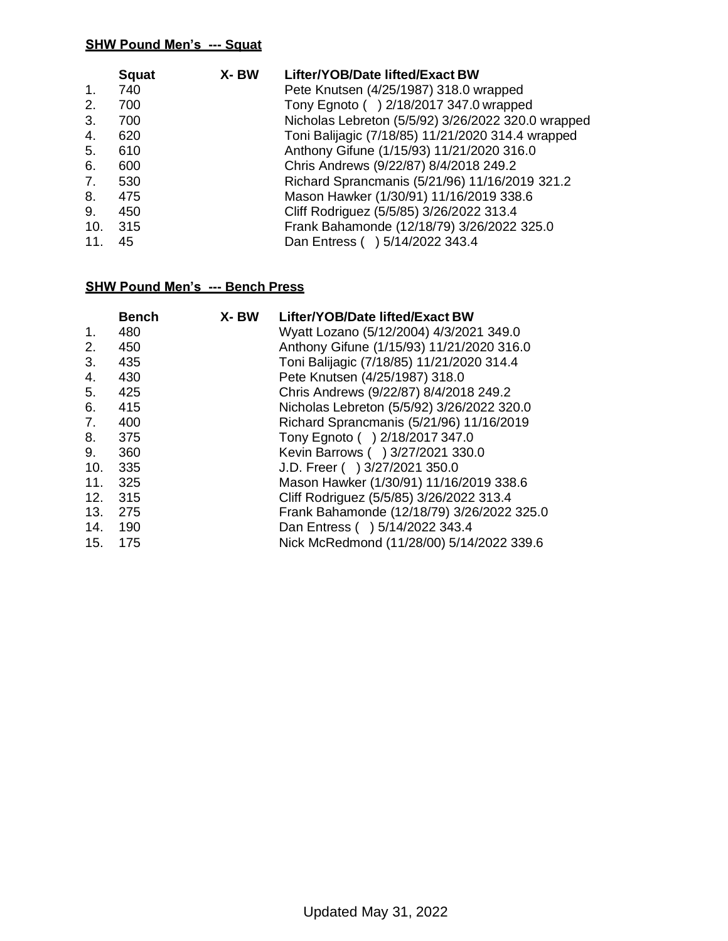| <b>Squat</b> | X-BW | Lifter/YOB/Date lifted/Exact BW                    |
|--------------|------|----------------------------------------------------|
| 740          |      | Pete Knutsen (4/25/1987) 318.0 wrapped             |
| 700          |      | Tony Egnoto () 2/18/2017 347.0 wrapped             |
| 700          |      | Nicholas Lebreton (5/5/92) 3/26/2022 320.0 wrapped |
| 620          |      | Toni Balijagic (7/18/85) 11/21/2020 314.4 wrapped  |
| 610          |      | Anthony Gifune (1/15/93) 11/21/2020 316.0          |
| 600          |      | Chris Andrews (9/22/87) 8/4/2018 249.2             |
| 530          |      | Richard Sprancmanis (5/21/96) 11/16/2019 321.2     |
| 475          |      | Mason Hawker (1/30/91) 11/16/2019 338.6            |
| 450          |      | Cliff Rodriguez (5/5/85) 3/26/2022 313.4           |
| 315          |      | Frank Bahamonde (12/18/79) 3/26/2022 325.0         |
| 45           |      | Dan Entress () 5/14/2022 343.4                     |
|              |      |                                                    |

|                | <b>Bench</b> | X-BW | Lifter/YOB/Date lifted/Exact BW            |
|----------------|--------------|------|--------------------------------------------|
| 1.             | 480          |      | Wyatt Lozano (5/12/2004) 4/3/2021 349.0    |
| 2.             | 450          |      | Anthony Gifune (1/15/93) 11/21/2020 316.0  |
| 3.             | 435          |      | Toni Balijagic (7/18/85) 11/21/2020 314.4  |
| 4.             | 430          |      | Pete Knutsen (4/25/1987) 318.0             |
| 5.             | 425          |      | Chris Andrews (9/22/87) 8/4/2018 249.2     |
| 6.             | 415          |      | Nicholas Lebreton (5/5/92) 3/26/2022 320.0 |
| 7 <sub>1</sub> | 400          |      | Richard Sprancmanis (5/21/96) 11/16/2019   |
| 8.             | 375          |      | Tony Egnoto () 2/18/2017 347.0             |
| 9.             | 360          |      | Kevin Barrows () 3/27/2021 330.0           |
| 10.            | 335          |      | J.D. Freer ( ) 3/27/2021 350.0             |
| 11.            | 325          |      | Mason Hawker (1/30/91) 11/16/2019 338.6    |
| 12.            | 315          |      | Cliff Rodriguez (5/5/85) 3/26/2022 313.4   |
| 13.            | 275          |      | Frank Bahamonde (12/18/79) 3/26/2022 325.0 |
| 14.            | 190          |      | Dan Entress ( ) 5/14/2022 343.4            |
| 15.            | 175          |      | Nick McRedmond (11/28/00) 5/14/2022 339.6  |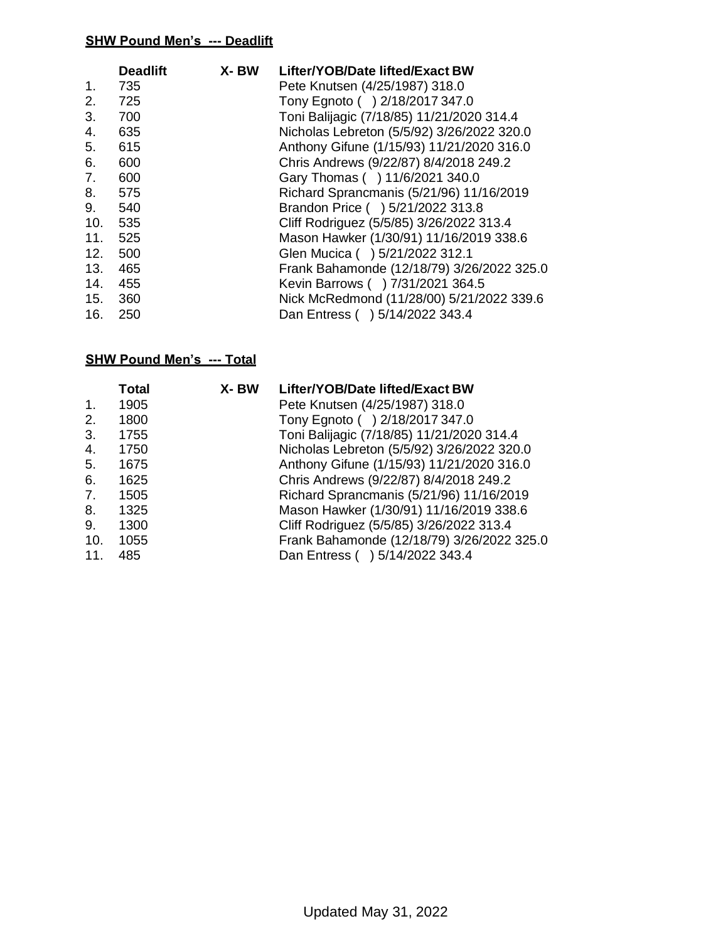|     | <b>Deadlift</b> | X-BW | Lifter/YOB/Date lifted/Exact BW            |
|-----|-----------------|------|--------------------------------------------|
| 1.  | 735             |      | Pete Knutsen (4/25/1987) 318.0             |
| 2.  | 725             |      | Tony Egnoto () 2/18/2017 347.0             |
| 3.  | 700             |      | Toni Balijagic (7/18/85) 11/21/2020 314.4  |
| 4.  | 635             |      | Nicholas Lebreton (5/5/92) 3/26/2022 320.0 |
| 5.  | 615             |      | Anthony Gifune (1/15/93) 11/21/2020 316.0  |
| 6.  | 600             |      | Chris Andrews (9/22/87) 8/4/2018 249.2     |
| 7.  | 600             |      | Gary Thomas ( ) 11/6/2021 340.0            |
| 8.  | 575             |      | Richard Sprancmanis (5/21/96) 11/16/2019   |
| 9.  | 540             |      | Brandon Price ( ) 5/21/2022 313.8          |
| 10. | 535             |      | Cliff Rodriguez (5/5/85) 3/26/2022 313.4   |
| 11. | 525             |      | Mason Hawker (1/30/91) 11/16/2019 338.6    |
| 12. | 500             |      | Glen Mucica ( ) 5/21/2022 312.1            |
| 13. | 465             |      | Frank Bahamonde (12/18/79) 3/26/2022 325.0 |
| 14. | 455             |      | Kevin Barrows ( ) 7/31/2021 364.5          |
| 15. | 360             |      | Nick McRedmond (11/28/00) 5/21/2022 339.6  |
| 16. | 250             |      | Dan Entress () 5/14/2022 343.4             |

|                 | Total | X-BW | Lifter/YOB/Date lifted/Exact BW            |
|-----------------|-------|------|--------------------------------------------|
| 1.              | 1905  |      | Pete Knutsen (4/25/1987) 318.0             |
| 2.              | 1800  |      | Tony Egnoto () 2/18/2017 347.0             |
| 3.              | 1755  |      | Toni Balijagic (7/18/85) 11/21/2020 314.4  |
| 4.              | 1750  |      | Nicholas Lebreton (5/5/92) 3/26/2022 320.0 |
| 5.              | 1675  |      | Anthony Gifune (1/15/93) 11/21/2020 316.0  |
| 6.              | 1625  |      | Chris Andrews (9/22/87) 8/4/2018 249.2     |
| 7.              | 1505  |      | Richard Sprancmanis (5/21/96) 11/16/2019   |
| 8.              | 1325  |      | Mason Hawker (1/30/91) 11/16/2019 338.6    |
| 9.              | 1300  |      | Cliff Rodriguez (5/5/85) 3/26/2022 313.4   |
| 10.             | 1055  |      | Frank Bahamonde (12/18/79) 3/26/2022 325.0 |
| 11 <sub>1</sub> | 485   |      | Dan Entress () 5/14/2022 343.4             |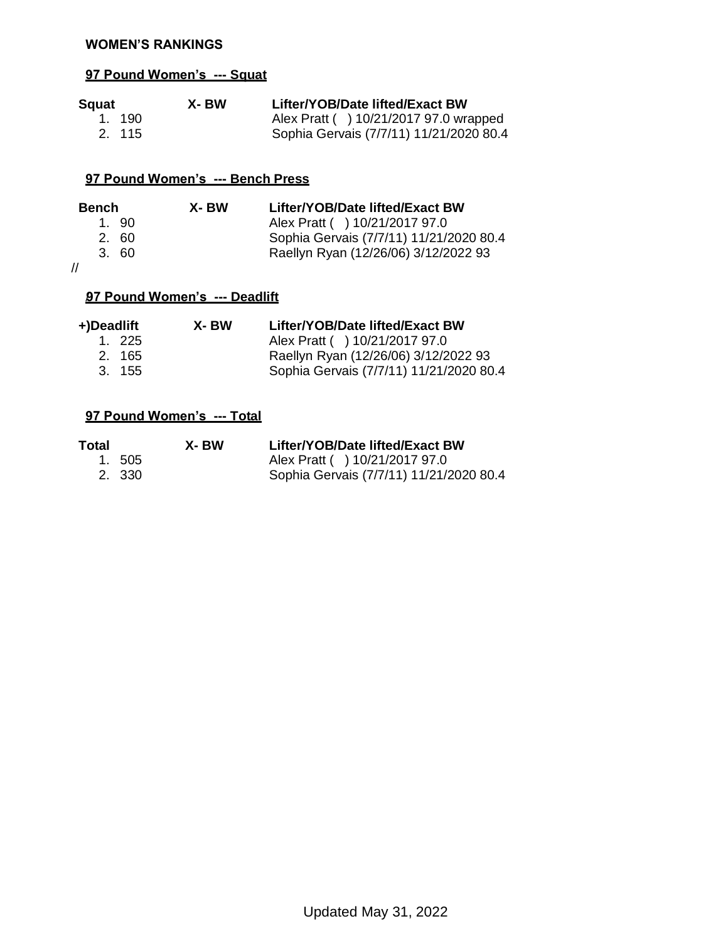#### **WOMEN'S RANKINGS**

### **97 Pound Women's --- Squat**

| Squat  | X-BW | Lifter/YOB/Date lifted/Exact BW         |
|--------|------|-----------------------------------------|
| 1. 190 |      | Alex Pratt ( ) 10/21/2017 97.0 wrapped  |
| 2. 115 |      | Sophia Gervais (7/7/11) 11/21/2020 80.4 |

### **97 Pound Women's --- Bench Press**

| Bench | X- BW | Lifter/YOB/Date lifted/Exact BW         |
|-------|-------|-----------------------------------------|
| 1.90  |       | Alex Pratt ( ) 10/21/2017 97.0          |
| 2. 60 |       | Sophia Gervais (7/7/11) 11/21/2020 80.4 |
| 3.60  |       | Raellyn Ryan (12/26/06) 3/12/2022 93    |
|       |       |                                         |

//

### /**97 Pound Women's --- Deadlift**

| +)Deadlift | X- BW | Lifter/YOB/Date lifted/Exact BW         |
|------------|-------|-----------------------------------------|
| 1. 225     |       | Alex Pratt ( ) 10/21/2017 97.0          |
| 2. 165     |       | Raellyn Ryan (12/26/06) 3/12/2022 93    |
| 3.155      |       | Sophia Gervais (7/7/11) 11/21/2020 80.4 |

| Total | X- BW  | Lifter/YOB/Date lifted/Exact BW         |
|-------|--------|-----------------------------------------|
|       | 1. 505 | Alex Pratt ( ) 10/21/2017 97.0          |
|       | 2. 330 | Sophia Gervais (7/7/11) 11/21/2020 80.4 |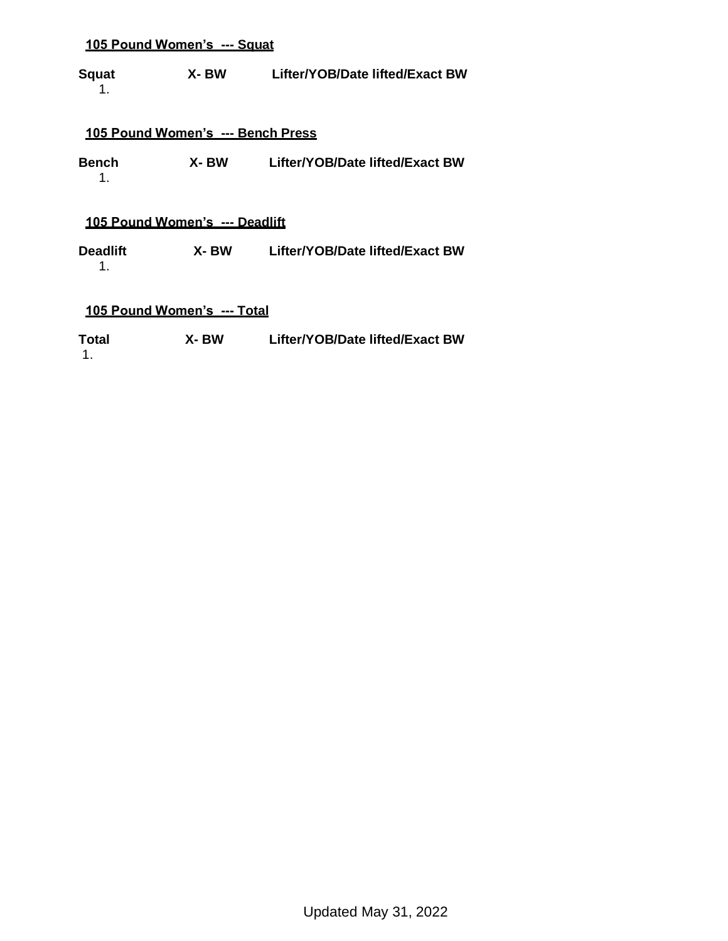**Squat X- BW Lifter/YOB/Date lifted/Exact BW** 1.

#### **105 Pound Women's --- Bench Press**

**Bench X- BW Lifter/YOB/Date lifted/Exact BW** 1.

### **105 Pound Women's --- Deadlift**

**Deadlift X- BW Lifter/YOB/Date lifted/Exact BW** 1.

#### **105 Pound Women's --- Total**

**Total X- BW Lifter/YOB/Date lifted/Exact BW** 1.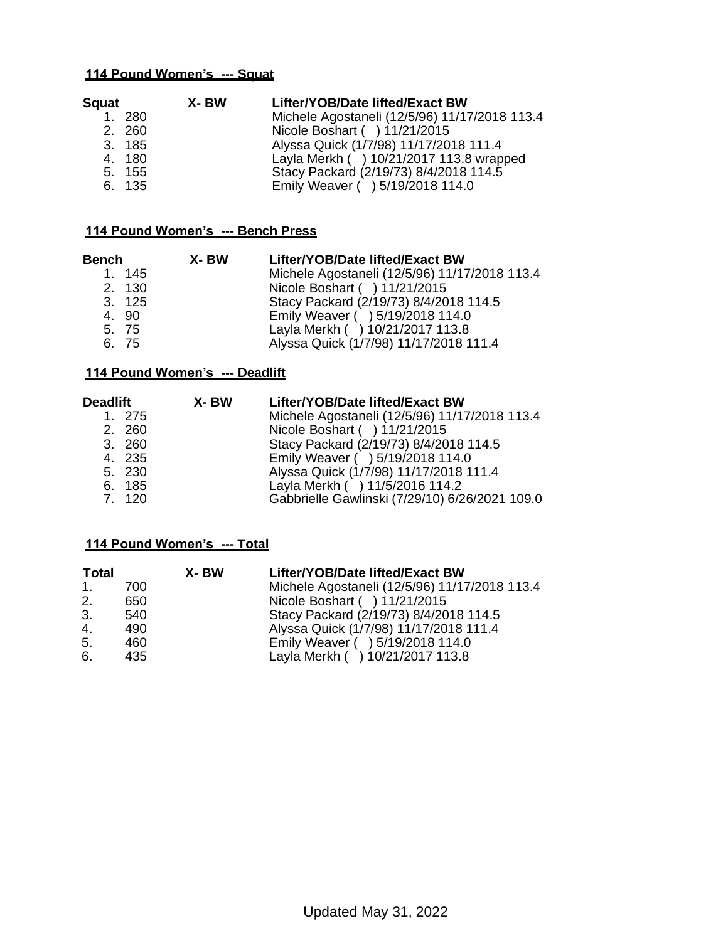| Squat |        | X- BW | Lifter/YOB/Date lifted/Exact BW               |
|-------|--------|-------|-----------------------------------------------|
|       | 1. 280 |       | Michele Agostaneli (12/5/96) 11/17/2018 113.4 |
|       | 2. 260 |       | Nicole Boshart ( ) 11/21/2015                 |
|       | 3. 185 |       | Alyssa Quick (1/7/98) 11/17/2018 111.4        |
|       | 4. 180 |       | Layla Merkh ( ) 10/21/2017 113.8 wrapped      |
|       | 5. 155 |       | Stacy Packard (2/19/73) 8/4/2018 114.5        |
|       | 6. 135 |       | Emily Weaver ( ) 5/19/2018 114.0              |

### **114 Pound Women's --- Bench Press**

| Bench |        | X-BW | Lifter/YOB/Date lifted/Exact BW               |
|-------|--------|------|-----------------------------------------------|
|       | 1.145  |      | Michele Agostaneli (12/5/96) 11/17/2018 113.4 |
|       | 2. 130 |      | Nicole Boshart ( ) 11/21/2015                 |
|       | 3. 125 |      | Stacy Packard (2/19/73) 8/4/2018 114.5        |
|       | 4. 90  |      | Emily Weaver ( ) 5/19/2018 114.0              |
|       | 5. 75  |      | Layla Merkh ( ) 10/21/2017 113.8              |
|       | 6. 75  |      | Alyssa Quick (1/7/98) 11/17/2018 111.4        |

#### **114 Pound Women's --- Deadlift**

| Deadlift |        | X- BW | Lifter/YOB/Date lifted/Exact BW                |
|----------|--------|-------|------------------------------------------------|
|          | 1. 275 |       | Michele Agostaneli (12/5/96) 11/17/2018 113.4  |
|          | 2. 260 |       | Nicole Boshart ( ) 11/21/2015                  |
|          | 3.260  |       | Stacy Packard (2/19/73) 8/4/2018 114.5         |
|          | 4. 235 |       | Emily Weaver ( ) 5/19/2018 114.0               |
|          | 5. 230 |       | Alyssa Quick (1/7/98) 11/17/2018 111.4         |
|          | 6. 185 |       | Layla Merkh ( ) 11/5/2016 114.2                |
|          | 7. 120 |       | Gabbrielle Gawlinski (7/29/10) 6/26/2021 109.0 |

| Total   |     | X-BW | Lifter/YOB/Date lifted/Exact BW               |
|---------|-----|------|-----------------------------------------------|
| $1_{-}$ | 700 |      | Michele Agostaneli (12/5/96) 11/17/2018 113.4 |
| 2.      | 650 |      | Nicole Boshart ( ) 11/21/2015                 |
| 3.      | 540 |      | Stacy Packard (2/19/73) 8/4/2018 114.5        |
| 4.      | 490 |      | Alyssa Quick (1/7/98) 11/17/2018 111.4        |
| 5.      | 460 |      | Emily Weaver ( ) 5/19/2018 114.0              |
| 6.      | 435 |      | Layla Merkh ( ) 10/21/2017 113.8              |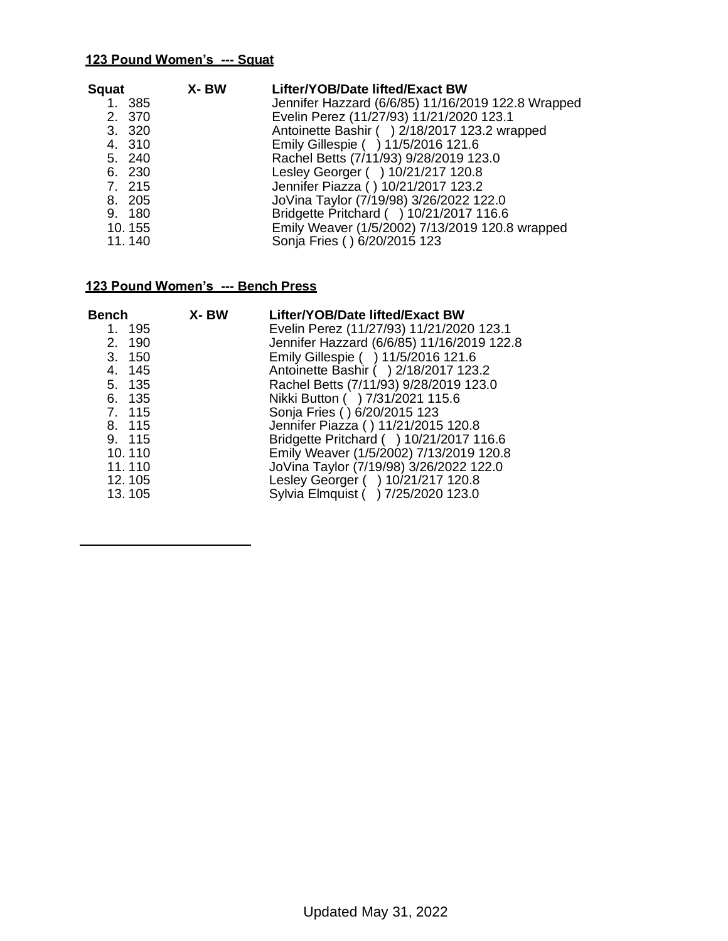| Squat  | X- BW  | Lifter/YOB/Date lifted/Exact BW                    |
|--------|--------|----------------------------------------------------|
| 1. 385 |        | Jennifer Hazzard (6/6/85) 11/16/2019 122.8 Wrapped |
| 2. 370 |        | Evelin Perez (11/27/93) 11/21/2020 123.1           |
| 3. 320 |        | Antoinette Bashir ( ) 2/18/2017 123.2 wrapped      |
| 4. 310 |        | Emily Gillespie ( ) 11/5/2016 121.6                |
| 5. 240 |        | Rachel Betts (7/11/93) 9/28/2019 123.0             |
| 6. 230 |        | Lesley Georger ( ) 10/21/217 120.8                 |
| 7. 215 |        | Jennifer Piazza () 10/21/2017 123.2                |
| 8. 205 |        | JoVina Taylor (7/19/98) 3/26/2022 122.0            |
| 9. 180 |        | Bridgette Pritchard ( ) 10/21/2017 116.6           |
| 10.155 |        | Emily Weaver (1/5/2002) 7/13/2019 120.8 wrapped    |
|        |        | Sonja Fries () 6/20/2015 123                       |
|        | 11.140 |                                                    |

| Bench  | X-BW | Lifter/YOB/Date lifted/Exact BW            |
|--------|------|--------------------------------------------|
| 1. 195 |      | Evelin Perez (11/27/93) 11/21/2020 123.1   |
| 2. 190 |      | Jennifer Hazzard (6/6/85) 11/16/2019 122.8 |
| 3. 150 |      | Emily Gillespie ( ) 11/5/2016 121.6        |
| 4. 145 |      | Antoinette Bashir ( ) 2/18/2017 123.2      |
| 5. 135 |      | Rachel Betts (7/11/93) 9/28/2019 123.0     |
| 6. 135 |      | Nikki Button ( ) 7/31/2021 115.6           |
| 7. 115 |      | Sonja Fries () 6/20/2015 123               |
| 8. 115 |      | Jennifer Piazza () 11/21/2015 120.8        |
| 9. 115 |      | Bridgette Pritchard ( ) 10/21/2017 116.6   |
| 10.110 |      | Emily Weaver (1/5/2002) 7/13/2019 120.8    |
| 11.110 |      | JoVina Taylor (7/19/98) 3/26/2022 122.0    |
| 12.105 |      | Lesley Georger ( ) 10/21/217 120.8         |
| 13.105 |      | Sylvia Elmquist ( ) 7/25/2020 123.0        |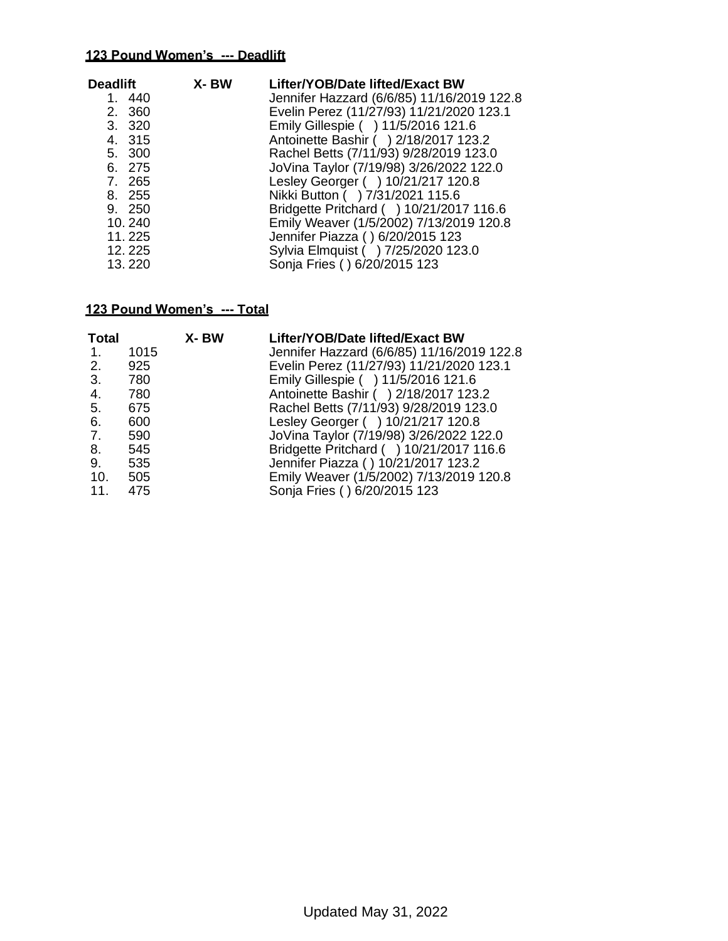| Deadlift<br>1. 440<br>2. 360<br>3. 320<br>4. 315<br>5. 300<br>6. 275<br>7. 265<br>8. 255<br>9. 250<br>10.240 | X- BW | Lifter/YOB/Date lifted/Exact BW<br>Jennifer Hazzard (6/6/85) 11/16/2019 122.8<br>Evelin Perez (11/27/93) 11/21/2020 123.1<br>Emily Gillespie ( ) 11/5/2016 121.6<br>Antoinette Bashir ( ) 2/18/2017 123.2<br>Rachel Betts (7/11/93) 9/28/2019 123.0<br>JoVina Taylor (7/19/98) 3/26/2022 122.0<br>Lesley Georger ( ) 10/21/217 120.8<br>Nikki Button ( ) 7/31/2021 115.6<br>Bridgette Pritchard ( ) 10/21/2017 116.6<br>Emily Weaver (1/5/2002) 7/13/2019 120.8 |
|--------------------------------------------------------------------------------------------------------------|-------|-----------------------------------------------------------------------------------------------------------------------------------------------------------------------------------------------------------------------------------------------------------------------------------------------------------------------------------------------------------------------------------------------------------------------------------------------------------------|
| 11.225<br>12.225<br>13.220                                                                                   |       | Jennifer Piazza () 6/20/2015 123<br>Sylvia Elmquist ( ) 7/25/2020 123.0<br>Sonja Fries () 6/20/2015 123                                                                                                                                                                                                                                                                                                                                                         |

| <b>Total</b> |      | X-BW | Lifter/YOB/Date lifted/Exact BW            |
|--------------|------|------|--------------------------------------------|
| 1.           | 1015 |      | Jennifer Hazzard (6/6/85) 11/16/2019 122.8 |
| 2.           | 925  |      | Evelin Perez (11/27/93) 11/21/2020 123.1   |
| 3.           | 780  |      | Emily Gillespie ( ) 11/5/2016 121.6        |
| 4.           | 780  |      | Antoinette Bashir ( ) 2/18/2017 123.2      |
| 5.           | 675  |      | Rachel Betts (7/11/93) 9/28/2019 123.0     |
| 6.           | 600  |      | Lesley Georger ( ) 10/21/217 120.8         |
| 7.           | 590  |      | JoVina Taylor (7/19/98) 3/26/2022 122.0    |
| 8.           | 545  |      | Bridgette Pritchard ( ) 10/21/2017 116.6   |
| 9.           | 535  |      | Jennifer Piazza () 10/21/2017 123.2        |
| 10.          | 505  |      | Emily Weaver (1/5/2002) 7/13/2019 120.8    |
| 11.          | 475  |      | Sonja Fries () 6/20/2015 123               |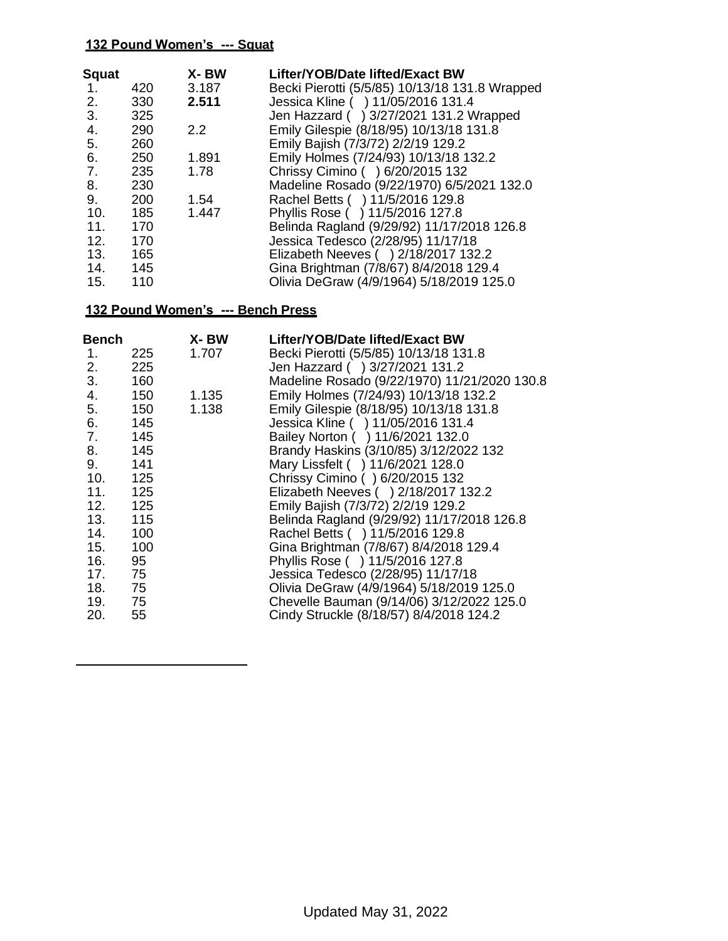| <b>Squat</b>    |     | X-BW  | Lifter/YOB/Date lifted/Exact BW                |
|-----------------|-----|-------|------------------------------------------------|
| 1.              | 420 | 3.187 | Becki Pierotti (5/5/85) 10/13/18 131.8 Wrapped |
| 2.              | 330 | 2.511 | Jessica Kline ( ) 11/05/2016 131.4             |
| 3.              | 325 |       | Jen Hazzard ( ) 3/27/2021 131.2 Wrapped        |
| 4.              | 290 | 2.2   | Emily Gilespie (8/18/95) 10/13/18 131.8        |
| 5.              | 260 |       | Emily Bajish (7/3/72) 2/2/19 129.2             |
| 6.              | 250 | 1.891 | Emily Holmes (7/24/93) 10/13/18 132.2          |
| 7.              | 235 | 1.78  | Chrissy Cimino () 6/20/2015 132                |
| 8.              | 230 |       | Madeline Rosado (9/22/1970) 6/5/2021 132.0     |
| 9.              | 200 | 1.54  | Rachel Betts ( ) 11/5/2016 129.8               |
| 10.             | 185 | 1.447 | Phyllis Rose ( ) 11/5/2016 127.8               |
| 11 <sub>1</sub> | 170 |       | Belinda Ragland (9/29/92) 11/17/2018 126.8     |
| 12.             | 170 |       | Jessica Tedesco (2/28/95) 11/17/18             |
| 13.             | 165 |       | Elizabeth Neeves () 2/18/2017 132.2            |
| 14.             | 145 |       | Gina Brightman (7/8/67) 8/4/2018 129.4         |
| 15.             | 110 |       | Olivia DeGraw (4/9/1964) 5/18/2019 125.0       |

| <b>Bench</b> | X- BW                                                               | Lifter/YOB/Date lifted/Exact BW              |
|--------------|---------------------------------------------------------------------|----------------------------------------------|
| 225          | 1.707                                                               | Becki Pierotti (5/5/85) 10/13/18 131.8       |
| 225          |                                                                     | Jen Hazzard () 3/27/2021 131.2               |
| 160          |                                                                     | Madeline Rosado (9/22/1970) 11/21/2020 130.8 |
| 150          | 1.135                                                               | Emily Holmes (7/24/93) 10/13/18 132.2        |
| 5.<br>150    | 1.138                                                               | Emily Gilespie (8/18/95) 10/13/18 131.8      |
| 145          |                                                                     | Jessica Kline ( ) 11/05/2016 131.4           |
| 7. 145       |                                                                     | Bailey Norton ( ) 11/6/2021 132.0            |
| 8. 145       |                                                                     | Brandy Haskins (3/10/85) 3/12/2022 132       |
| 9. 141       |                                                                     | Mary Lissfelt ( ) 11/6/2021 128.0            |
| 10. 125      |                                                                     | Chrissy Cimino () 6/20/2015 132              |
| 11.<br>125   |                                                                     | Elizabeth Neeves ( ) 2/18/2017 132.2         |
|              |                                                                     | Emily Bajish (7/3/72) 2/2/19 129.2           |
|              |                                                                     | Belinda Ragland (9/29/92) 11/17/2018 126.8   |
| 14.          |                                                                     | Rachel Betts ( ) 11/5/2016 129.8             |
| 15.<br>100   |                                                                     | Gina Brightman (7/8/67) 8/4/2018 129.4       |
| 16.          |                                                                     | Phyllis Rose ( ) 11/5/2016 127.8             |
|              |                                                                     | Jessica Tedesco (2/28/95) 11/17/18           |
|              |                                                                     | Olivia DeGraw (4/9/1964) 5/18/2019 125.0     |
|              |                                                                     | Chevelle Bauman (9/14/06) 3/12/2022 125.0    |
|              |                                                                     | Cindy Struckle (8/18/57) 8/4/2018 124.2      |
|              | 12. 125<br>13. 115<br>100<br>95<br>17. 75<br>18. 75<br>19. 75<br>55 |                                              |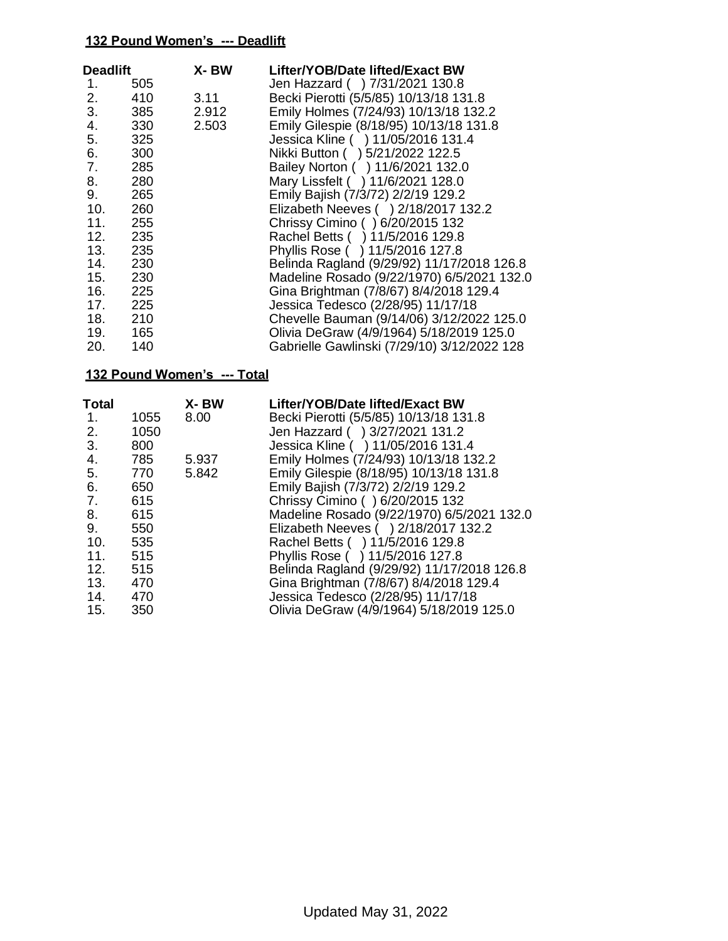| <b>Deadlift</b> |     | X-BW  | Lifter/YOB/Date lifted/Exact BW             |
|-----------------|-----|-------|---------------------------------------------|
| 1.              | 505 |       | Jen Hazzard ( ) 7/31/2021 130.8             |
| 2.              | 410 | 3.11  | Becki Pierotti (5/5/85) 10/13/18 131.8      |
| 3.              | 385 | 2.912 | Emily Holmes (7/24/93) 10/13/18 132.2       |
| 4.              | 330 | 2.503 | Emily Gilespie (8/18/95) 10/13/18 131.8     |
| 5.              | 325 |       | Jessica Kline ( ) 11/05/2016 131.4          |
| 6.              | 300 |       | Nikki Button ( ) 5/21/2022 122.5            |
| 7.              | 285 |       | Bailey Norton ( ) 11/6/2021 132.0           |
| 8.              | 280 |       | Mary Lissfelt ( ) 11/6/2021 128.0           |
| 9.              | 265 |       | Emily Bajish (7/3/72) 2/2/19 129.2          |
| 10.             | 260 |       | Elizabeth Neeves () 2/18/2017 132.2         |
| 11.             | 255 |       | Chrissy Cimino () 6/20/2015 132             |
| 12.             | 235 |       | Rachel Betts ( ) 11/5/2016 129.8            |
| 13.             | 235 |       | Phyllis Rose ( ) 11/5/2016 127.8            |
| 14.             | 230 |       | Belinda Ragland (9/29/92) 11/17/2018 126.8  |
| 15.             | 230 |       | Madeline Rosado (9/22/1970) 6/5/2021 132.0  |
| 16.             | 225 |       | Gina Brightman (7/8/67) 8/4/2018 129.4      |
| 17.             | 225 |       | Jessica Tedesco (2/28/95) 11/17/18          |
|                 | 210 |       | Chevelle Bauman (9/14/06) 3/12/2022 125.0   |
| 19.             | 165 |       | Olivia DeGraw (4/9/1964) 5/18/2019 125.0    |
| 20.             | 140 |       | Gabrielle Gawlinski (7/29/10) 3/12/2022 128 |

| <b>Total</b> |      | X-BW  | Lifter/YOB/Date lifted/Exact BW            |
|--------------|------|-------|--------------------------------------------|
| $1_{-}$      | 1055 | 8.00  | Becki Pierotti (5/5/85) 10/13/18 131.8     |
| 2.           | 1050 |       | Jen Hazzard ( ) 3/27/2021 131.2            |
| 3.           | 800  |       | Jessica Kline ( ) 11/05/2016 131.4         |
| 4.           | 785  | 5.937 | Emily Holmes (7/24/93) 10/13/18 132.2      |
| 5.           | 770  | 5.842 | Emily Gilespie (8/18/95) 10/13/18 131.8    |
| 6.           | 650  |       | Emily Bajish (7/3/72) 2/2/19 129.2         |
| 7.           | 615  |       | Chrissy Cimino () 6/20/2015 132            |
| 8.           | 615  |       | Madeline Rosado (9/22/1970) 6/5/2021 132.0 |
| 9.           | 550  |       | Elizabeth Neeves () 2/18/2017 132.2        |
| 10.          | 535  |       | Rachel Betts ( ) 11/5/2016 129.8           |
| 11.          | 515  |       | Phyllis Rose ( ) 11/5/2016 127.8           |
| 12.          | 515  |       | Belinda Ragland (9/29/92) 11/17/2018 126.8 |
| 13.          | 470  |       | Gina Brightman (7/8/67) 8/4/2018 129.4     |
| 14.          | 470  |       | Jessica Tedesco (2/28/95) 11/17/18         |
| 15.          | 350  |       | Olivia DeGraw (4/9/1964) 5/18/2019 125.0   |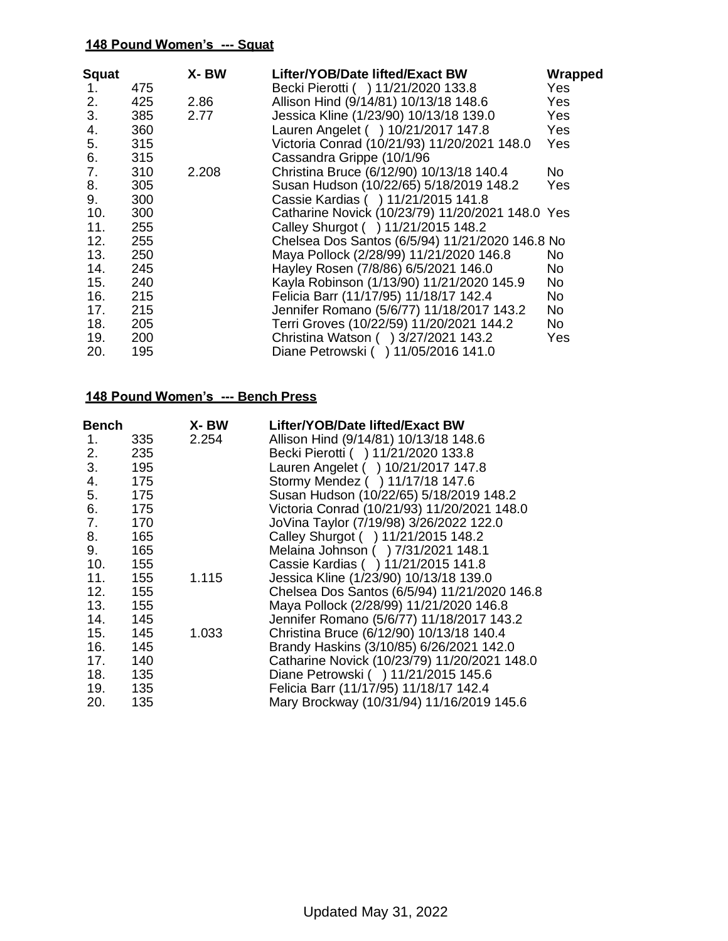| Squat |     | X-BW  | Lifter/YOB/Date lifted/Exact BW                  | Wrapped   |
|-------|-----|-------|--------------------------------------------------|-----------|
| 1.    | 475 |       | Becki Pierotti ( ) 11/21/2020 133.8              | Yes       |
| 2.    | 425 | 2.86  | Allison Hind (9/14/81) 10/13/18 148.6            | Yes       |
| 3.    | 385 | 2.77  | Jessica Kline (1/23/90) 10/13/18 139.0           | Yes       |
| 4.    | 360 |       | Lauren Angelet ( ) 10/21/2017 147.8              | Yes       |
| 5.    | 315 |       | Victoria Conrad (10/21/93) 11/20/2021 148.0      | Yes       |
| 6.    | 315 |       | Cassandra Grippe (10/1/96                        |           |
| 7.    | 310 | 2.208 | Christina Bruce (6/12/90) 10/13/18 140.4         | No.       |
| 8.    | 305 |       | Susan Hudson (10/22/65) 5/18/2019 148.2          | Yes       |
| 9.    | 300 |       | Cassie Kardias ( ) 11/21/2015 141.8              |           |
| 10.   | 300 |       | Catharine Novick (10/23/79) 11/20/2021 148.0 Yes |           |
| 11.   | 255 |       | Calley Shurgot ( ) 11/21/2015 148.2              |           |
| 12.   | 255 |       | Chelsea Dos Santos (6/5/94) 11/21/2020 146.8 No  |           |
| 13.   | 250 |       | Maya Pollock (2/28/99) 11/21/2020 146.8          | No.       |
| 14.   | 245 |       | Hayley Rosen (7/8/86) 6/5/2021 146.0             | No.       |
| 15.   | 240 |       | Kayla Robinson (1/13/90) 11/21/2020 145.9        | <b>No</b> |
| 16.   | 215 |       | Felicia Barr (11/17/95) 11/18/17 142.4           | No.       |
| 17.   | 215 |       | Jennifer Romano (5/6/77) 11/18/2017 143.2        | No.       |
| 18.   | 205 |       | Terri Groves (10/22/59) 11/20/2021 144.2         | No.       |
| 19.   | 200 |       | Christina Watson ( ) 3/27/2021 143.2             | Yes       |
| 20.   | 195 |       | Diane Petrowski ( ) 11/05/2016 141.0             |           |

| Bench |     | X-BW  | Lifter/YOB/Date lifted/Exact BW              |
|-------|-----|-------|----------------------------------------------|
| 1.    | 335 | 2.254 | Allison Hind (9/14/81) 10/13/18 148.6        |
| 2.    | 235 |       | Becki Pierotti ( ) 11/21/2020 133.8          |
| 3.    | 195 |       | Lauren Angelet ( ) 10/21/2017 147.8          |
| 4.    | 175 |       | Stormy Mendez ( ) 11/17/18 147.6             |
| 5.    | 175 |       | Susan Hudson (10/22/65) 5/18/2019 148.2      |
| 6.    | 175 |       | Victoria Conrad (10/21/93) 11/20/2021 148.0  |
| 7.    | 170 |       | JoVina Taylor (7/19/98) 3/26/2022 122.0      |
| 8.    | 165 |       | Calley Shurgot ( ) 11/21/2015 148.2          |
| 9.    | 165 |       | Melaina Johnson ( ) 7/31/2021 148.1          |
| 10.   | 155 |       | Cassie Kardias () 11/21/2015 141.8           |
| 11.   | 155 | 1.115 | Jessica Kline (1/23/90) 10/13/18 139.0       |
| 12.   | 155 |       | Chelsea Dos Santos (6/5/94) 11/21/2020 146.8 |
| 13.   | 155 |       | Maya Pollock (2/28/99) 11/21/2020 146.8      |
| 14.   | 145 |       | Jennifer Romano (5/6/77) 11/18/2017 143.2    |
| 15.   | 145 | 1.033 | Christina Bruce (6/12/90) 10/13/18 140.4     |
| 16.   | 145 |       | Brandy Haskins (3/10/85) 6/26/2021 142.0     |
| 17.   | 140 |       | Catharine Novick (10/23/79) 11/20/2021 148.0 |
| 18.   | 135 |       | Diane Petrowski ( ) 11/21/2015 145.6         |
| 19.   | 135 |       | Felicia Barr (11/17/95) 11/18/17 142.4       |
| 20.   | 135 |       | Mary Brockway (10/31/94) 11/16/2019 145.6    |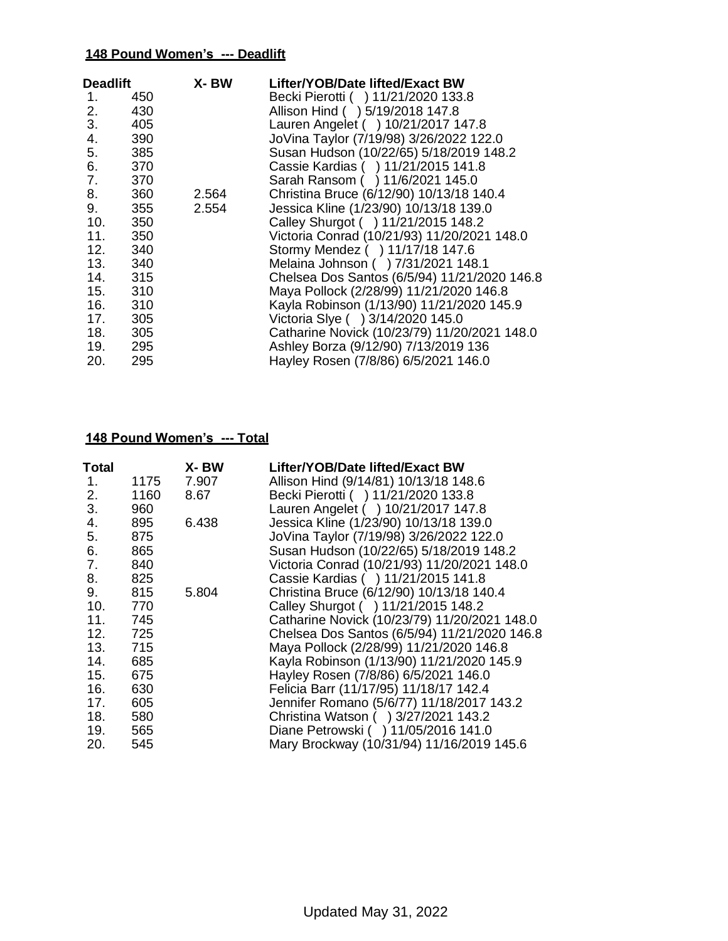| <b>Deadlift</b> |         | X- BW | Lifter/YOB/Date lifted/Exact BW              |
|-----------------|---------|-------|----------------------------------------------|
| 1.              | 450     |       | Becki Pierotti ( ) 11/21/2020 133.8          |
| 2.              | 430     |       | Allison Hind ( ) 5/19/2018 147.8             |
| 3.              | 405     |       | Lauren Angelet ( ) 10/21/2017 147.8          |
| 4.              | 390     |       | JoVina Taylor (7/19/98) 3/26/2022 122.0      |
| 5.              | 385     |       | Susan Hudson (10/22/65) 5/18/2019 148.2      |
| 6.              | 370     |       | Cassie Kardias ( ) 11/21/2015 141.8          |
| 7.              | 370     |       | Sarah Ransom ( ) 11/6/2021 145.0             |
| 8.              | 360     | 2.564 | Christina Bruce (6/12/90) 10/13/18 140.4     |
| 9.              | 355     | 2.554 | Jessica Kline (1/23/90) 10/13/18 139.0       |
| 10.             | 350     |       | Calley Shurgot ( ) 11/21/2015 148.2          |
| 11.             | 350     |       | Victoria Conrad (10/21/93) 11/20/2021 148.0  |
| 12.             | 340     |       | Stormy Mendez () 11/17/18 147.6              |
|                 | 13. 340 |       | Melaina Johnson ( ) 7/31/2021 148.1          |
|                 | 14. 315 |       | Chelsea Dos Santos (6/5/94) 11/21/2020 146.8 |
|                 | 15. 310 |       | Maya Pollock (2/28/99) 11/21/2020 146.8      |
|                 | 310     |       | Kayla Robinson (1/13/90) 11/21/2020 145.9    |
| 17.             | 305     |       | Victoria Slye ( ) 3/14/2020 145.0            |
|                 | 18. 305 |       | Catharine Novick (10/23/79) 11/20/2021 148.0 |
| 19.             | 295     |       | Ashley Borza (9/12/90) 7/13/2019 136         |
| 20.             | 295     |       | Hayley Rosen (7/8/86) 6/5/2021 146.0         |

| Total |      | X- BW | Lifter/YOB/Date lifted/Exact BW              |
|-------|------|-------|----------------------------------------------|
| 1.    | 1175 | 7.907 | Allison Hind (9/14/81) 10/13/18 148.6        |
| 2.    | 1160 | 8.67  | Becki Pierotti ( ) 11/21/2020 133.8          |
| 3.    | 960  |       | Lauren Angelet ( ) 10/21/2017 147.8          |
| 4.    | 895  | 6.438 | Jessica Kline (1/23/90) 10/13/18 139.0       |
| 5.    | 875  |       | JoVina Taylor (7/19/98) 3/26/2022 122.0      |
| 6.    | 865  |       | Susan Hudson (10/22/65) 5/18/2019 148.2      |
| 7.    | 840  |       | Victoria Conrad (10/21/93) 11/20/2021 148.0  |
| 8.    | 825  |       | Cassie Kardias () 11/21/2015 141.8           |
| 9.    | 815  | 5.804 | Christina Bruce (6/12/90) 10/13/18 140.4     |
| 10.   | 770  |       | Calley Shurgot () 11/21/2015 148.2           |
| 11.   | 745  |       | Catharine Novick (10/23/79) 11/20/2021 148.0 |
| 12.   | 725  |       | Chelsea Dos Santos (6/5/94) 11/21/2020 146.8 |
| 13.   | 715  |       | Maya Pollock (2/28/99) 11/21/2020 146.8      |
| 14.   | 685  |       | Kayla Robinson (1/13/90) 11/21/2020 145.9    |
| 15.   | 675  |       | Hayley Rosen (7/8/86) 6/5/2021 146.0         |
| 16.   | 630  |       | Felicia Barr (11/17/95) 11/18/17 142.4       |
| 17.   | 605  |       | Jennifer Romano (5/6/77) 11/18/2017 143.2    |
| 18.   | 580  |       | Christina Watson ( ) 3/27/2021 143.2         |
| 19.   | 565  |       | Diane Petrowski ( ) 11/05/2016 141.0         |
| 20.   | 545  |       | Mary Brockway (10/31/94) 11/16/2019 145.6    |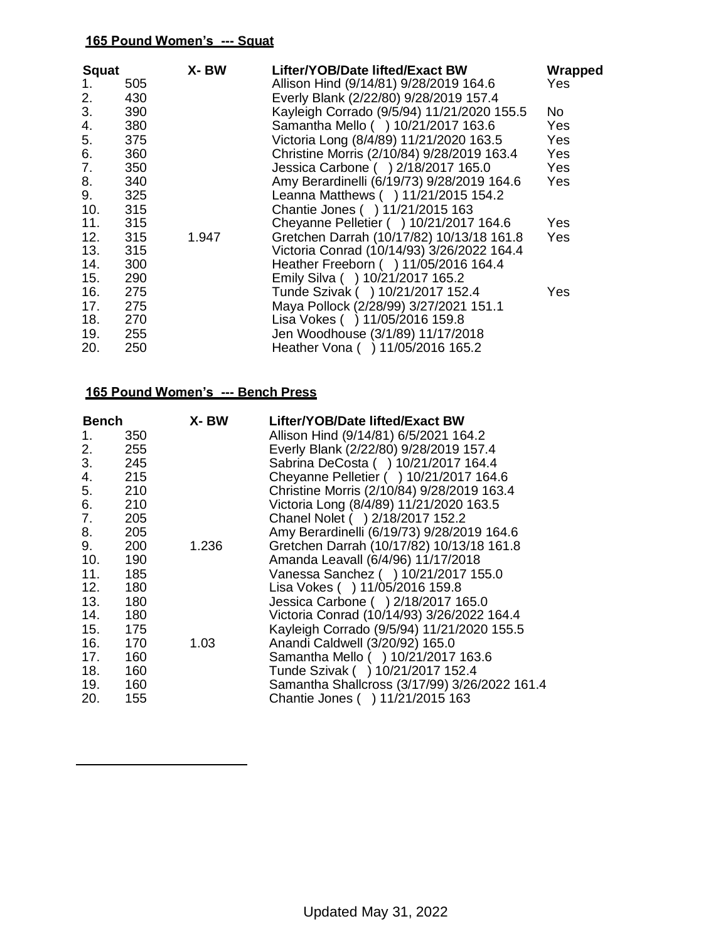| <b>Squat</b> |     | X-BW  | Lifter/YOB/Date lifted/Exact BW            | Wrapped    |
|--------------|-----|-------|--------------------------------------------|------------|
| 1.           | 505 |       | Allison Hind (9/14/81) 9/28/2019 164.6     | Yes.       |
| 2.           | 430 |       | Everly Blank (2/22/80) 9/28/2019 157.4     |            |
| 3.           | 390 |       | Kayleigh Corrado (9/5/94) 11/21/2020 155.5 | No         |
| 4.           | 380 |       | Samantha Mello ( ) 10/21/2017 163.6        | Yes        |
| 5.           | 375 |       | Victoria Long (8/4/89) 11/21/2020 163.5    | Yes        |
| 6.           | 360 |       | Christine Morris (2/10/84) 9/28/2019 163.4 | Yes        |
| 7.           | 350 |       | Jessica Carbone ( ) 2/18/2017 165.0        | Yes        |
| 8.           | 340 |       | Amy Berardinelli (6/19/73) 9/28/2019 164.6 | <b>Yes</b> |
| 9.           | 325 |       | Leanna Matthews () 11/21/2015 154.2        |            |
| 10.          | 315 |       | Chantie Jones () 11/21/2015 163            |            |
| 11.          | 315 |       | Cheyanne Pelletier ( ) 10/21/2017 164.6    | Yes        |
| 12.          | 315 | 1.947 | Gretchen Darrah (10/17/82) 10/13/18 161.8  | Yes        |
| 13.          | 315 |       | Victoria Conrad (10/14/93) 3/26/2022 164.4 |            |
| 14.          | 300 |       | Heather Freeborn ( ) 11/05/2016 164.4      |            |
| 15.          | 290 |       | Emily Silva ( ) 10/21/2017 165.2           |            |
| 16.          | 275 |       | Tunde Szivak ( ) 10/21/2017 152.4          | Yes        |
| 17.          | 275 |       | Maya Pollock (2/28/99) 3/27/2021 151.1     |            |
| 18.          | 270 |       | Lisa Vokes ( ) 11/05/2016 159.8            |            |
| 19.          | 255 |       | Jen Woodhouse (3/1/89) 11/17/2018          |            |
| 20.          | 250 |       | Heather Vona () 11/05/2016 165.2           |            |

| <b>Bench</b> |     | X- BW | Lifter/YOB/Date lifted/Exact BW               |
|--------------|-----|-------|-----------------------------------------------|
| 1.           | 350 |       | Allison Hind (9/14/81) 6/5/2021 164.2         |
| 2.           | 255 |       | Everly Blank (2/22/80) 9/28/2019 157.4        |
| 3.           | 245 |       | Sabrina DeCosta ( ) 10/21/2017 164.4          |
| 4.           | 215 |       | Cheyanne Pelletier ( ) 10/21/2017 164.6       |
| 5.           | 210 |       | Christine Morris (2/10/84) 9/28/2019 163.4    |
| 6.           | 210 |       | Victoria Long (8/4/89) 11/21/2020 163.5       |
| 7.           | 205 |       | Chanel Nolet ( ) 2/18/2017 152.2              |
| 8.           | 205 |       | Amy Berardinelli (6/19/73) 9/28/2019 164.6    |
| 9.           | 200 | 1.236 | Gretchen Darrah (10/17/82) 10/13/18 161.8     |
| 10.          | 190 |       | Amanda Leavall (6/4/96) 11/17/2018            |
| 11.          | 185 |       | Vanessa Sanchez ( ) 10/21/2017 155.0          |
| 12.          | 180 |       | Lisa Vokes ( ) 11/05/2016 159.8               |
| 13.          | 180 |       | Jessica Carbone ( ) 2/18/2017 165.0           |
| 14.          | 180 |       | Victoria Conrad (10/14/93) 3/26/2022 164.4    |
| 15.          | 175 |       | Kayleigh Corrado (9/5/94) 11/21/2020 155.5    |
| 16.          | 170 | 1.03  | Anandi Caldwell (3/20/92) 165.0               |
| 17.          | 160 |       | Samantha Mello ( ) 10/21/2017 163.6           |
| 18.          | 160 |       | Tunde Szivak ( ) 10/21/2017 152.4             |
| 19.          | 160 |       | Samantha Shallcross (3/17/99) 3/26/2022 161.4 |
| 20.          | 155 |       | Chantie Jones ( ) 11/21/2015 163              |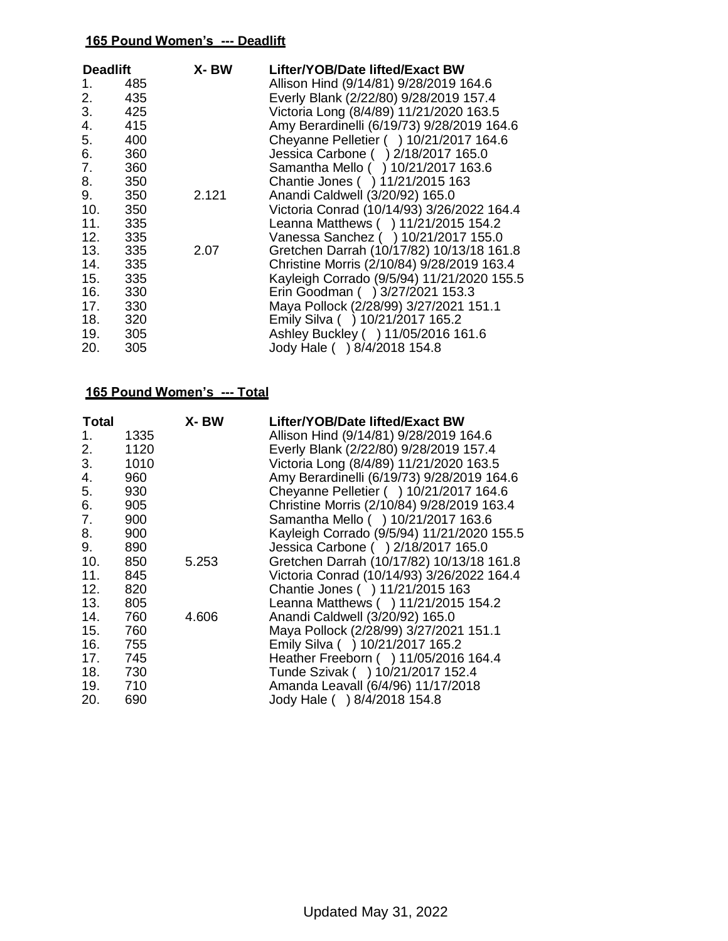| <b>Deadlift</b> |     | X-BW  | Lifter/YOB/Date lifted/Exact BW            |
|-----------------|-----|-------|--------------------------------------------|
| 1.              | 485 |       | Allison Hind (9/14/81) 9/28/2019 164.6     |
| 2.              | 435 |       | Everly Blank (2/22/80) 9/28/2019 157.4     |
| 3.              | 425 |       | Victoria Long (8/4/89) 11/21/2020 163.5    |
| 4.              | 415 |       | Amy Berardinelli (6/19/73) 9/28/2019 164.6 |
| 5.              | 400 |       | Cheyanne Pelletier ( ) 10/21/2017 164.6    |
| 6.              | 360 |       | Jessica Carbone ( ) 2/18/2017 165.0        |
| 7.              | 360 |       | Samantha Mello ( ) 10/21/2017 163.6        |
| 8.              | 350 |       | Chantie Jones ( ) 11/21/2015 163           |
| 9.              | 350 | 2.121 | Anandi Caldwell (3/20/92) 165.0            |
| 10.             | 350 |       | Victoria Conrad (10/14/93) 3/26/2022 164.4 |
| 11.             | 335 |       | Leanna Matthews () 11/21/2015 154.2        |
| 12.             | 335 |       | Vanessa Sanchez ( ) 10/21/2017 155.0       |
| 13.             | 335 | 2.07  | Gretchen Darrah (10/17/82) 10/13/18 161.8  |
| 14.             | 335 |       | Christine Morris (2/10/84) 9/28/2019 163.4 |
| 15.             | 335 |       | Kayleigh Corrado (9/5/94) 11/21/2020 155.5 |
| 16.             | 330 |       | Erin Goodman ( ) 3/27/2021 153.3           |
| 17.             | 330 |       | Maya Pollock (2/28/99) 3/27/2021 151.1     |
| 18.             | 320 |       | Emily Silva ( ) 10/21/2017 165.2           |
| 19.             | 305 |       | Ashley Buckley ( ) 11/05/2016 161.6        |
| 20.             | 305 |       | Jody Hale ( ) 8/4/2018 154.8               |

| Total   |      | X-BW  | Lifter/YOB/Date lifted/Exact BW            |
|---------|------|-------|--------------------------------------------|
| 1.      | 1335 |       | Allison Hind (9/14/81) 9/28/2019 164.6     |
| 2.      | 1120 |       | Everly Blank (2/22/80) 9/28/2019 157.4     |
| 3.      | 1010 |       | Victoria Long (8/4/89) 11/21/2020 163.5    |
| 4.      | 960  |       | Amy Berardinelli (6/19/73) 9/28/2019 164.6 |
| 5.      | 930  |       | Cheyanne Pelletier ( ) 10/21/2017 164.6    |
| 6.      | 905  |       | Christine Morris (2/10/84) 9/28/2019 163.4 |
| 7.      | 900  |       | Samantha Mello () 10/21/2017 163.6         |
| 8.      | 900  |       | Kayleigh Corrado (9/5/94) 11/21/2020 155.5 |
| 9.      | 890  |       | Jessica Carbone ( ) 2/18/2017 165.0        |
| 10.     | 850  | 5.253 | Gretchen Darrah (10/17/82) 10/13/18 161.8  |
| 11.     | 845  |       | Victoria Conrad (10/14/93) 3/26/2022 164.4 |
| 12.     | 820  |       | Chantie Jones () 11/21/2015 163            |
| 13.     | 805  |       | Leanna Matthews ( ) 11/21/2015 154.2       |
| 14.     | 760  | 4.606 | Anandi Caldwell (3/20/92) 165.0            |
| 15.     | 760  |       | Maya Pollock (2/28/99) 3/27/2021 151.1     |
| 16.     | 755  |       | Emily Silva ( ) 10/21/2017 165.2           |
| 17.     | 745  |       | Heather Freeborn ( ) 11/05/2016 164.4      |
| 18. 730 |      |       | Tunde Szivak ( ) 10/21/2017 152.4          |
| 19.     | 710  |       | Amanda Leavall (6/4/96) 11/17/2018         |
| 20.     | 690  |       | Jody Hale ( ) 8/4/2018 154.8               |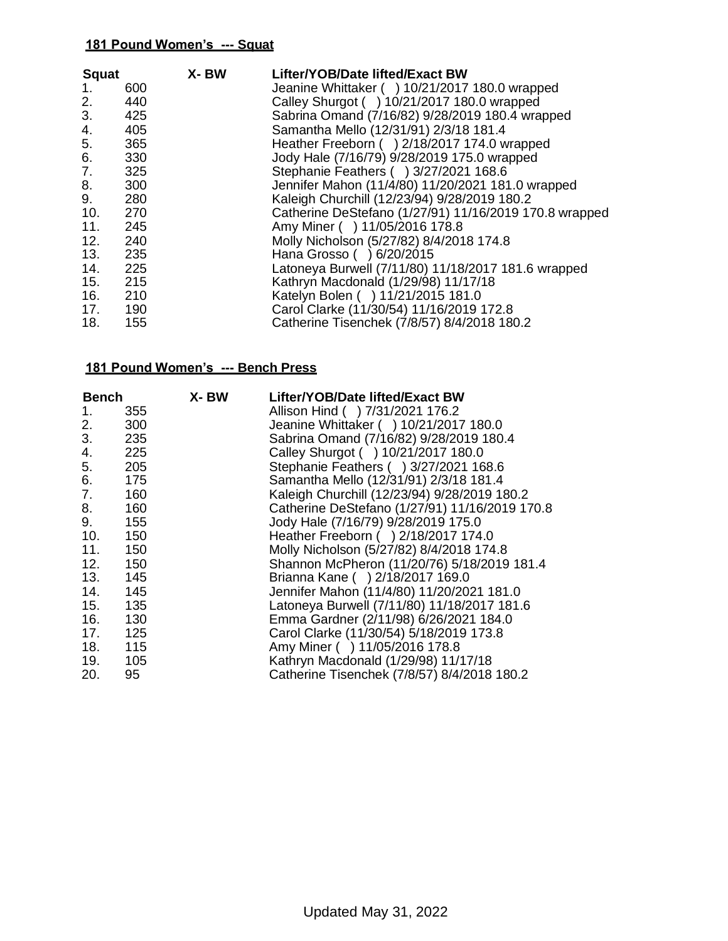| <b>Squat</b> | 600   | X-BW | Lifter/YOB/Date lifted/Exact BW<br>Jeanine Whittaker () 10/21/2017 180.0 wrapped |
|--------------|-------|------|----------------------------------------------------------------------------------|
| 1.<br>2.     | 440   |      | Calley Shurgot ( ) 10/21/2017 180.0 wrapped                                      |
| 3.           | 425   |      | Sabrina Omand (7/16/82) 9/28/2019 180.4 wrapped                                  |
| 4.           | 405   |      | Samantha Mello (12/31/91) 2/3/18 181.4                                           |
|              |       |      |                                                                                  |
| 5.           | 365   |      | Heather Freeborn () 2/18/2017 174.0 wrapped                                      |
| 6.           | 330   |      | Jody Hale (7/16/79) 9/28/2019 175.0 wrapped                                      |
| 7.           | 325   |      | Stephanie Feathers ( ) 3/27/2021 168.6                                           |
| 8.           | 300   |      | Jennifer Mahon (11/4/80) 11/20/2021 181.0 wrapped                                |
| 9.           | 280   |      | Kaleigh Churchill (12/23/94) 9/28/2019 180.2                                     |
| 10.          | 270   |      | Catherine DeStefano (1/27/91) 11/16/2019 170.8 wrapped                           |
| 11.          | 245   |      | Amy Miner ( ) 11/05/2016 178.8                                                   |
| 12.          | 240   |      | Molly Nicholson (5/27/82) 8/4/2018 174.8                                         |
| 13.          | 235   |      | Hana Grosso ( ) 6/20/2015                                                        |
| 14.          | - 225 |      | Latoneya Burwell (7/11/80) 11/18/2017 181.6 wrapped                              |
| 15.          | 215   |      | Kathryn Macdonald (1/29/98) 11/17/18                                             |
| 16.          | 210   |      | Katelyn Bolen ( ) 11/21/2015 181.0                                               |
| 17.          | 190   |      | Carol Clarke (11/30/54) 11/16/2019 172.8                                         |
| 18.          | 155   |      | Catherine Tisenchek (7/8/57) 8/4/2018 180.2                                      |

| <b>Bench</b> |     | X- BW | Lifter/YOB/Date lifted/Exact BW                |
|--------------|-----|-------|------------------------------------------------|
| 1.           | 355 |       | Allison Hind ( ) 7/31/2021 176.2               |
| 2.           | 300 |       | Jeanine Whittaker ( ) 10/21/2017 180.0         |
| 3.           | 235 |       | Sabrina Omand (7/16/82) 9/28/2019 180.4        |
| 4.           | 225 |       | Calley Shurgot () 10/21/2017 180.0             |
| 5.           | 205 |       | Stephanie Feathers () 3/27/2021 168.6          |
| 6.           | 175 |       | Samantha Mello (12/31/91) 2/3/18 181.4         |
| 7.           | 160 |       | Kaleigh Churchill (12/23/94) 9/28/2019 180.2   |
| 8.           | 160 |       | Catherine DeStefano (1/27/91) 11/16/2019 170.8 |
| 9.           | 155 |       | Jody Hale (7/16/79) 9/28/2019 175.0            |
| 10.          | 150 |       | Heather Freeborn () 2/18/2017 174.0            |
| 11.          | 150 |       | Molly Nicholson (5/27/82) 8/4/2018 174.8       |
| 12.          | 150 |       | Shannon McPheron (11/20/76) 5/18/2019 181.4    |
| 13.          | 145 |       | Brianna Kane () 2/18/2017 169.0                |
| 14.          | 145 |       | Jennifer Mahon (11/4/80) 11/20/2021 181.0      |
| 15.          | 135 |       | Latoneya Burwell (7/11/80) 11/18/2017 181.6    |
| 16.          | 130 |       | Emma Gardner (2/11/98) 6/26/2021 184.0         |
| 17.          | 125 |       | Carol Clarke (11/30/54) 5/18/2019 173.8        |
| 18.          | 115 |       | Amy Miner ( ) 11/05/2016 178.8                 |
| 19.          | 105 |       | Kathryn Macdonald (1/29/98) 11/17/18           |
| 20.          | 95  |       | Catherine Tisenchek (7/8/57) 8/4/2018 180.2    |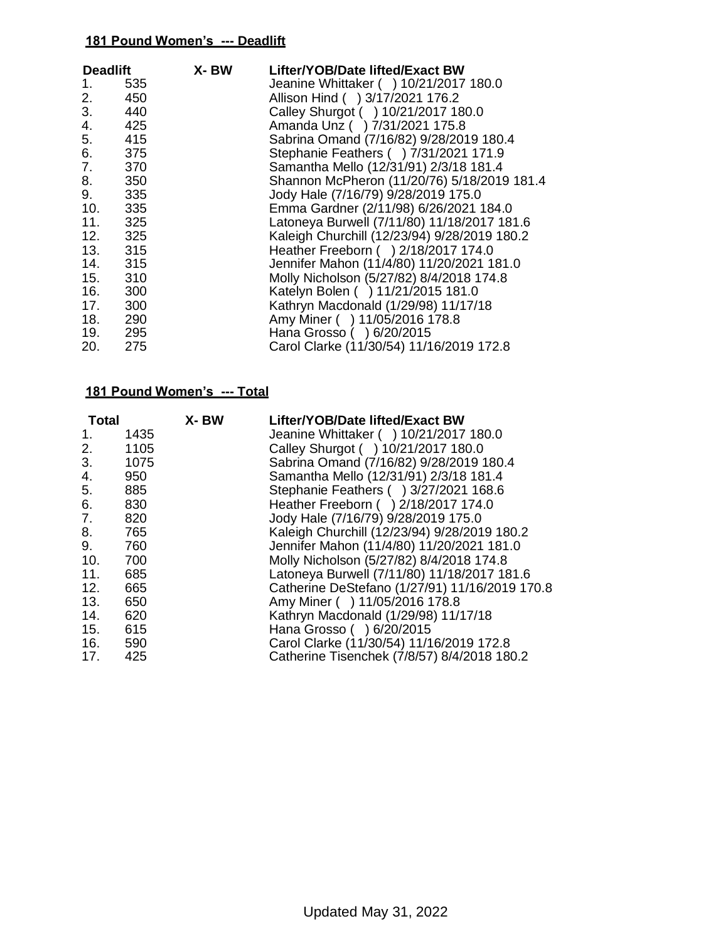| X-BW<br><b>Deadlift</b> |     | Lifter/YOB/Date lifted/Exact BW              |
|-------------------------|-----|----------------------------------------------|
| 1.                      | 535 | Jeanine Whittaker ( ) 10/21/2017 180.0       |
| 2.                      | 450 | Allison Hind ( ) 3/17/2021 176.2             |
| 3.                      | 440 | Calley Shurgot ( ) 10/21/2017 180.0          |
| 4.                      | 425 | Amanda Unz () 7/31/2021 175.8                |
| 5.                      | 415 | Sabrina Omand (7/16/82) 9/28/2019 180.4      |
|                         | 375 | Stephanie Feathers () 7/31/2021 171.9        |
| 7.                      | 370 | Samantha Mello (12/31/91) 2/3/18 181.4       |
| 8.                      | 350 | Shannon McPheron (11/20/76) 5/18/2019 181.4  |
| 9.                      | 335 | Jody Hale (7/16/79) 9/28/2019 175.0          |
| 10.                     | 335 | Emma Gardner (2/11/98) 6/26/2021 184.0       |
| 11.                     | 325 | Latoneya Burwell (7/11/80) 11/18/2017 181.6  |
| 12. 325                 |     | Kaleigh Churchill (12/23/94) 9/28/2019 180.2 |
| 13. 315                 |     | Heather Freeborn ( ) 2/18/2017 174.0         |
| 14.                     | 315 | Jennifer Mahon (11/4/80) 11/20/2021 181.0    |
| 15.                     | 310 | Molly Nicholson (5/27/82) 8/4/2018 174.8     |
| 16.                     | 300 | Katelyn Bolen ( ) 11/21/2015 181.0           |
| 17.                     | 300 | Kathryn Macdonald (1/29/98) 11/17/18         |
| 18.                     | 290 | Amy Miner ( ) 11/05/2016 178.8               |
| 19. 295                 |     | Hana Grosso ( ) 6/20/2015                    |
| 20.                     | 275 | Carol Clarke (11/30/54) 11/16/2019 172.8     |

| Total   |      | X-BW | Lifter/YOB/Date lifted/Exact BW                |
|---------|------|------|------------------------------------------------|
| 1.      | 1435 |      | Jeanine Whittaker ( ) 10/21/2017 180.0         |
| 2.      | 1105 |      | Calley Shurgot ( ) 10/21/2017 180.0            |
| 3.      | 1075 |      | Sabrina Omand (7/16/82) 9/28/2019 180.4        |
| 4.      | 950  |      | Samantha Mello (12/31/91) 2/3/18 181.4         |
| 5.      | 885  |      | Stephanie Feathers () 3/27/2021 168.6          |
| 6.      | 830  |      | Heather Freeborn () 2/18/2017 174.0            |
| 7.      | 820  |      | Jody Hale (7/16/79) 9/28/2019 175.0            |
| 8.      | 765  |      | Kaleigh Churchill (12/23/94) 9/28/2019 180.2   |
| 9.      | 760  |      | Jennifer Mahon (11/4/80) 11/20/2021 181.0      |
| 10.     | 700  |      | Molly Nicholson (5/27/82) 8/4/2018 174.8       |
| 11.     | 685  |      | Latoneya Burwell (7/11/80) 11/18/2017 181.6    |
| 12.     | 665  |      | Catherine DeStefano (1/27/91) 11/16/2019 170.8 |
| 13.     | 650  |      | Amy Miner ( ) 11/05/2016 178.8                 |
| 14. 620 |      |      | Kathryn Macdonald (1/29/98) 11/17/18           |
| 15.     | 615  |      | Hana Grosso ( ) 6/20/2015                      |
| 16. 590 |      |      | Carol Clarke (11/30/54) 11/16/2019 172.8       |
| 17.     | 425  |      | Catherine Tisenchek (7/8/57) 8/4/2018 180.2    |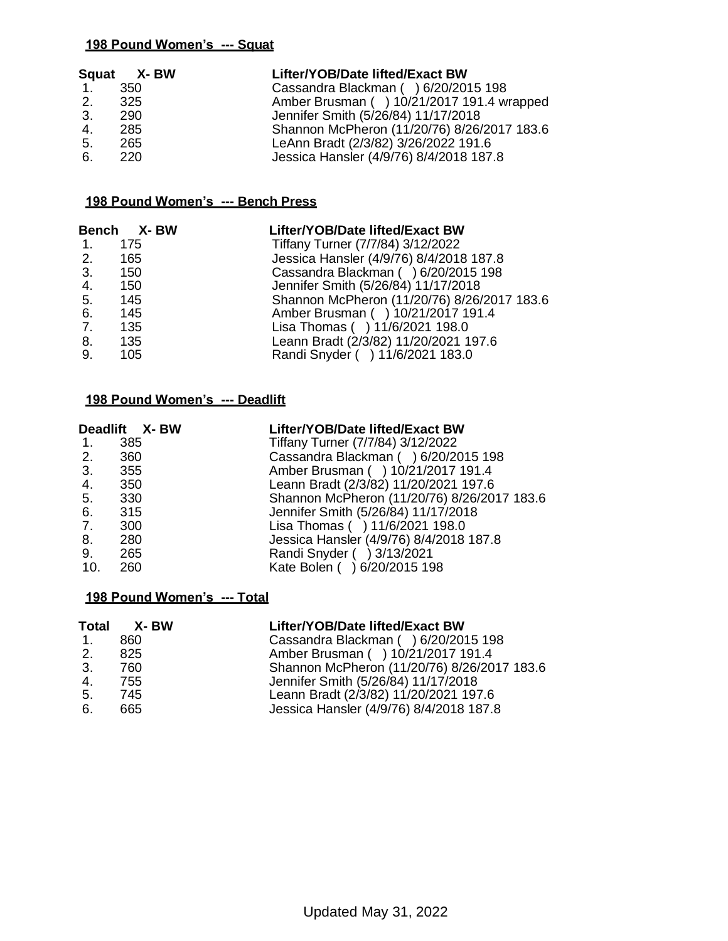|                | Squat X-BW | Lifter/YOB/Date lifted/Exact BW             |
|----------------|------------|---------------------------------------------|
| $\mathbf{1}$ . | 350        | Cassandra Blackman () 6/20/2015 198         |
| 2.             | -325       | Amber Brusman () 10/21/2017 191.4 wrapped   |
| 3.             | 290        | Jennifer Smith (5/26/84) 11/17/2018         |
| 4.             | 285        | Shannon McPheron (11/20/76) 8/26/2017 183.6 |
| 5.             | 265        | LeAnn Bradt (2/3/82) 3/26/2022 191.6        |
| 6.             | 220.       | Jessica Hansler (4/9/76) 8/4/2018 187.8     |

#### **198 Pound Women's --- Bench Press**

|             | Bench X-BW | Lifter/YOB/Date lifted/Exact BW             |
|-------------|------------|---------------------------------------------|
| 1.          | 175        | Tiffany Turner (7/7/84) 3/12/2022           |
| 2.          | 165        | Jessica Hansler (4/9/76) 8/4/2018 187.8     |
| 3.          | 150        | Cassandra Blackman () 6/20/2015 198         |
| 4.          | 150        | Jennifer Smith (5/26/84) 11/17/2018         |
| 5.          | 145        | Shannon McPheron (11/20/76) 8/26/2017 183.6 |
| 6.          | 145        | Amber Brusman ( ) 10/21/2017 191.4          |
| $7_{\cdot}$ | 135        | Lisa Thomas () 11/6/2021 198.0              |
| 8.          | 135        | Leann Bradt (2/3/82) 11/20/2021 197.6       |
| 9.          | 105        | Randi Snyder ( ) 11/6/2021 183.0            |

#### **198 Pound Women's --- Deadlift**

|        | Deadlift X-BW | Lifter/YOB/Date lifted/Exact BW             |
|--------|---------------|---------------------------------------------|
| 1. 385 |               | Tiffany Turner (7/7/84) 3/12/2022           |
| 2.     | 360           | Cassandra Blackman () 6/20/2015 198         |
| 3. 355 |               | Amber Brusman ( ) 10/21/2017 191.4          |
| 4.     | 350           | Leann Bradt (2/3/82) 11/20/2021 197.6       |
| 5.     | 330           | Shannon McPheron (11/20/76) 8/26/2017 183.6 |
| 6. 315 |               | Jennifer Smith (5/26/84) 11/17/2018         |
| 7. 300 |               | Lisa Thomas ( ) 11/6/2021 198.0             |
| 8.     | 280           | Jessica Hansler (4/9/76) 8/4/2018 187.8     |
| 9.     | 265           | Randi Snyder ( ) 3/13/2021                  |
| 10.    | 260           | Kate Bolen ( ) 6/20/2015 198                |

| <b>Total</b>   | X- BW | Lifter/YOB/Date lifted/Exact BW             |
|----------------|-------|---------------------------------------------|
| $\mathbf{1}$ . | 860   | Cassandra Blackman () 6/20/2015 198         |
| 2.             | 825   | Amber Brusman ( ) 10/21/2017 191.4          |
| 3.             | 760   | Shannon McPheron (11/20/76) 8/26/2017 183.6 |
| 4.             | 755   | Jennifer Smith (5/26/84) 11/17/2018         |
| 5.             | 745   | Leann Bradt (2/3/82) 11/20/2021 197.6       |
| 6.             | 665   | Jessica Hansler (4/9/76) 8/4/2018 187.8     |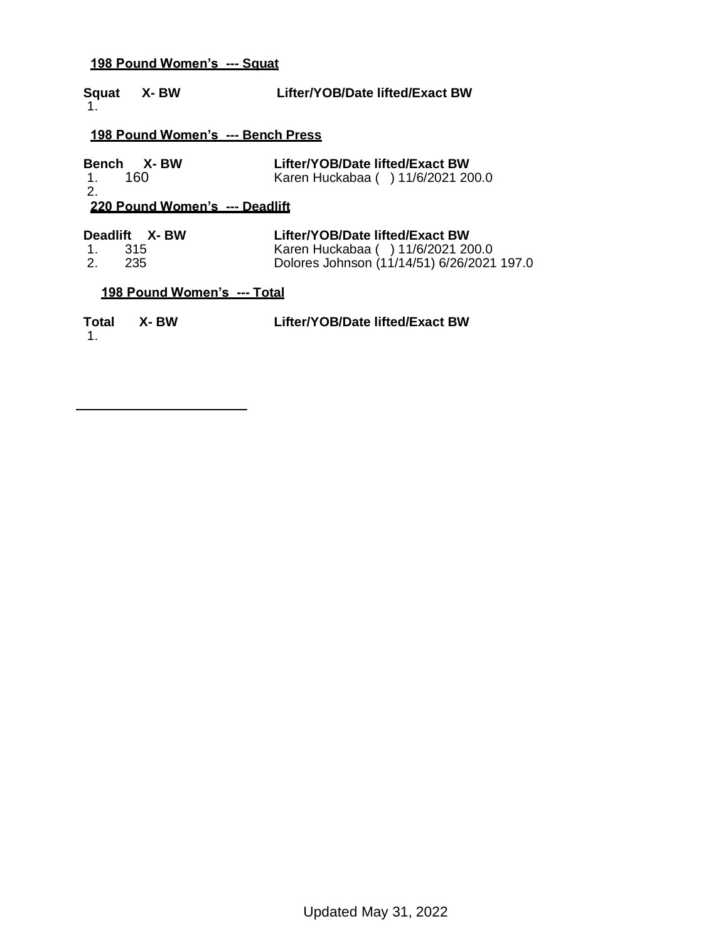| Squat X-BW<br>1.                     | Lifter/YOB/Date lifted/Exact BW                                                                                     |
|--------------------------------------|---------------------------------------------------------------------------------------------------------------------|
| 198 Pound Women's --- Bench Press    |                                                                                                                     |
| Bench X-BW<br>- 160<br>$1_{-}$<br>2. | Lifter/YOB/Date lifted/Exact BW<br>Karen Huckabaa ( ) 11/6/2021 200.0                                               |
| 220 Pound Women's --- Deadlift       |                                                                                                                     |
| Deadlift X-BW<br>1. 315<br>2. 235    | Lifter/YOB/Date lifted/Exact BW<br>Karen Huckabaa ( ) 11/6/2021 200.0<br>Dolores Johnson (11/14/51) 6/26/2021 197.0 |
| <u>198 Pound Women's --- Total</u>   |                                                                                                                     |
| Total X-BW<br>1.                     | Lifter/YOB/Date lifted/Exact BW                                                                                     |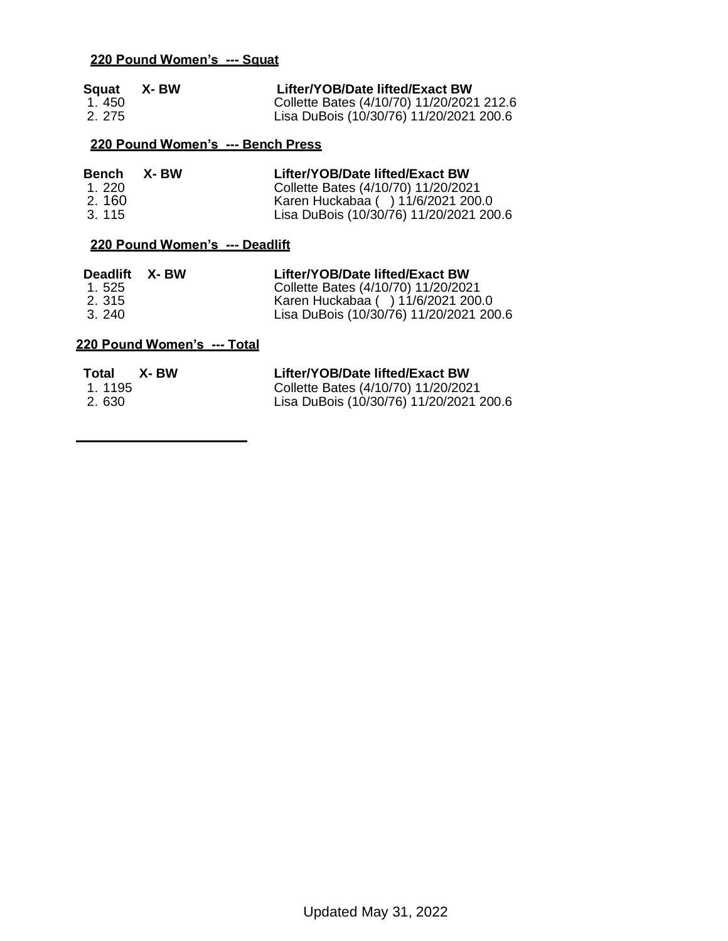| Squat | X- BW | Lifter/YOB/Date lifted/Exact BW           |
|-------|-------|-------------------------------------------|
| 1.450 |       | Collette Bates (4/10/70) 11/20/2021 212.6 |
| 2.275 |       | Lisa DuBois (10/30/76) 11/20/2021 200.6   |

### **220 Pound Women's --- Bench Press**

| Bench | X- BW | Lifter/YOB/Date lifted/Exact BW         |
|-------|-------|-----------------------------------------|
| 1.220 |       | Collette Bates (4/10/70) 11/20/2021     |
| 2.160 |       | Karen Huckabaa ( ) 11/6/2021 200.0      |
| 3.115 |       | Lisa DuBois (10/30/76) 11/20/2021 200.6 |

### **220 Pound Women's --- Deadlift**

| Deadlift | X- BW | Lifter/YOB/Date lifted/Exact BW         |
|----------|-------|-----------------------------------------|
| 1.525    |       | Collette Bates (4/10/70) 11/20/2021     |
| 2.315    |       | Karen Huckabaa ( ) 11/6/2021 200.0      |
| 3.240    |       | Lisa DuBois (10/30/76) 11/20/2021 200.6 |

| Total  | X- BW | Lifter/YOB/Date lifted/Exact BW         |
|--------|-------|-----------------------------------------|
| 1.1195 |       | Collette Bates (4/10/70) 11/20/2021     |
| 2.630  |       | Lisa DuBois (10/30/76) 11/20/2021 200.6 |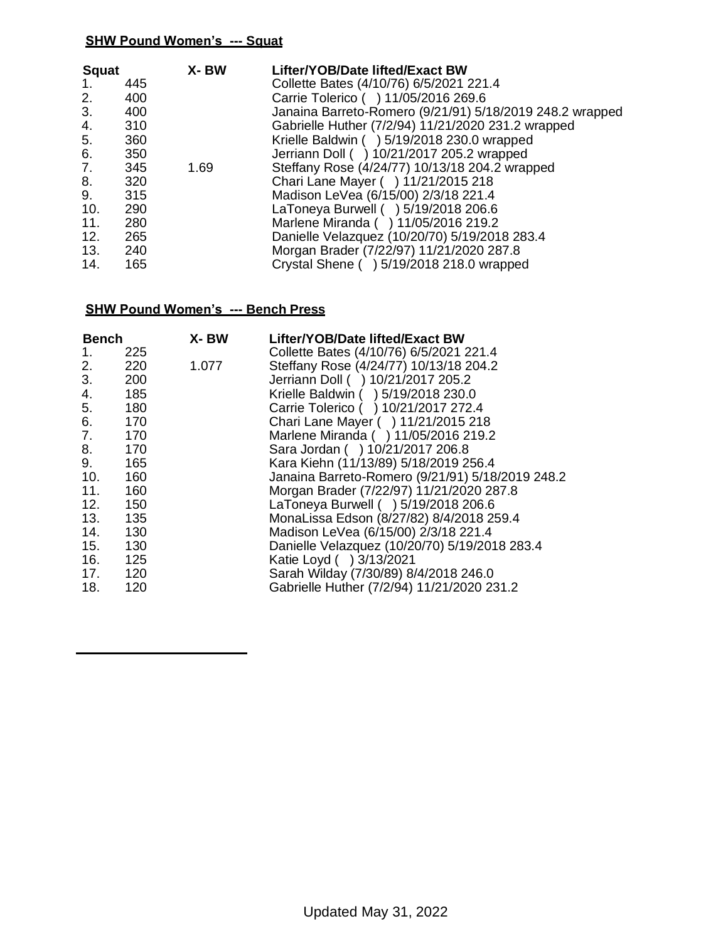| <b>Squat</b><br>1.<br>2.<br>3.<br>4.<br>5.<br>6.<br>7.<br>8.<br>9.<br>10. | 445<br>400<br>400<br>310<br>360<br>350<br>345<br>320<br>315<br>290 | X-BW<br>1.69 | Lifter/YOB/Date lifted/Exact BW<br>Collette Bates (4/10/76) 6/5/2021 221.4<br>Carrie Tolerico ( ) 11/05/2016 269.6<br>Janaina Barreto-Romero (9/21/91) 5/18/2019 248.2 wrapped<br>Gabrielle Huther (7/2/94) 11/21/2020 231.2 wrapped<br>Krielle Baldwin ( ) 5/19/2018 230.0 wrapped<br>Jerriann Doll ( ) 10/21/2017 205.2 wrapped<br>Steffany Rose (4/24/77) 10/13/18 204.2 wrapped<br>Chari Lane Mayer ( ) 11/21/2015 218<br>Madison LeVea (6/15/00) 2/3/18 221.4<br>LaToneya Burwell ( ) 5/19/2018 206.6 |
|---------------------------------------------------------------------------|--------------------------------------------------------------------|--------------|------------------------------------------------------------------------------------------------------------------------------------------------------------------------------------------------------------------------------------------------------------------------------------------------------------------------------------------------------------------------------------------------------------------------------------------------------------------------------------------------------------|
|                                                                           |                                                                    |              |                                                                                                                                                                                                                                                                                                                                                                                                                                                                                                            |
| 11.<br>12.<br>13.<br>14.                                                  | 280<br>265<br>240<br>165                                           |              | Marlene Miranda ( ) 11/05/2016 219.2<br>Danielle Velazquez (10/20/70) 5/19/2018 283.4<br>Morgan Brader (7/22/97) 11/21/2020 287.8<br>Crystal Shene ( ) 5/19/2018 218.0 wrapped                                                                                                                                                                                                                                                                                                                             |

### **SHW Pound Women's --- Bench Press**

| <b>Bench</b> |     | X-BW  | Lifter/YOB/Date lifted/Exact BW                  |
|--------------|-----|-------|--------------------------------------------------|
| 1.           | 225 |       | Collette Bates (4/10/76) 6/5/2021 221.4          |
| 2.           | 220 | 1.077 | Steffany Rose (4/24/77) 10/13/18 204.2           |
| 3.           | 200 |       | Jerriann Doll ( ) 10/21/2017 205.2               |
| 4.           | 185 |       | Krielle Baldwin ( ) 5/19/2018 230.0              |
| 5.           | 180 |       | Carrie Tolerico ( ) 10/21/2017 272.4             |
| 6.           | 170 |       | Chari Lane Mayer ( ) 11/21/2015 218              |
| 7.           | 170 |       | Marlene Miranda ( ) 11/05/2016 219.2             |
| 8.           | 170 |       | Sara Jordan ( ) 10/21/2017 206.8                 |
| 9.           | 165 |       | Kara Kiehn (11/13/89) 5/18/2019 256.4            |
| 10.          | 160 |       | Janaina Barreto-Romero (9/21/91) 5/18/2019 248.2 |
| 11.          | 160 |       | Morgan Brader (7/22/97) 11/21/2020 287.8         |
| 12.          | 150 |       | LaToneya Burwell ( ) 5/19/2018 206.6             |
| 13.          | 135 |       | MonaLissa Edson (8/27/82) 8/4/2018 259.4         |
| 14.          | 130 |       | Madison LeVea (6/15/00) 2/3/18 221.4             |
| 15.          | 130 |       | Danielle Velazquez (10/20/70) 5/19/2018 283.4    |
| 16.          | 125 |       | Katie Loyd () 3/13/2021                          |
| 17.          | 120 |       | Sarah Wilday (7/30/89) 8/4/2018 246.0            |
| 18.          | 120 |       | Gabrielle Huther (7/2/94) 11/21/2020 231.2       |
|              |     |       |                                                  |